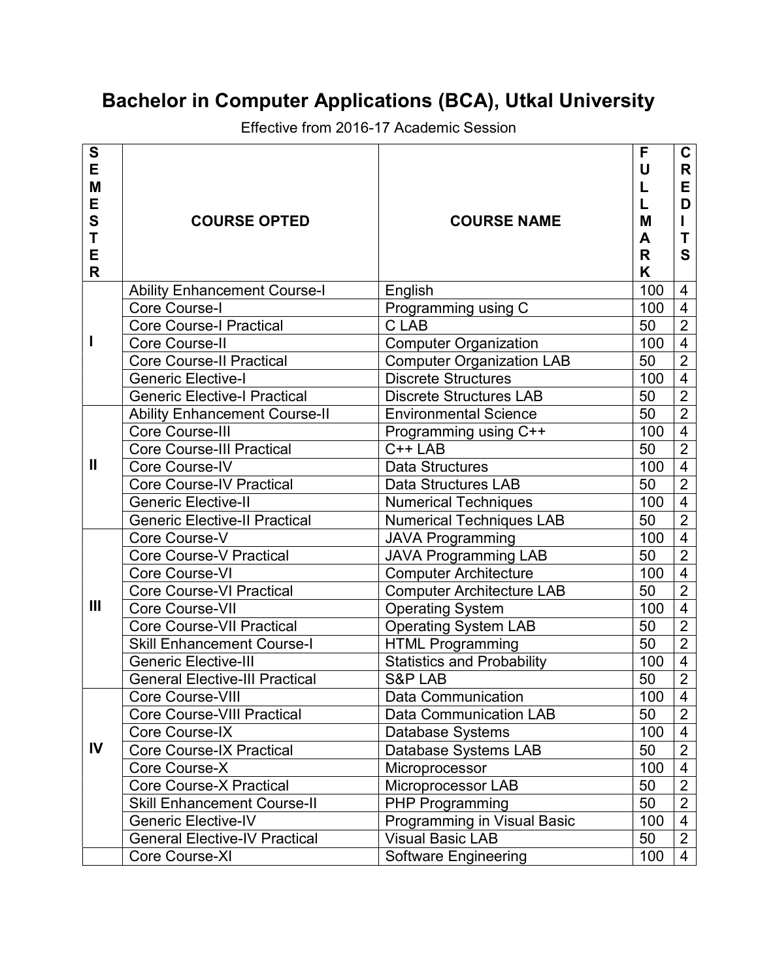# Bachelor in Computer Applications (BCA), Utkal University

Effective from 2016-17 Academic Session

| S  |                                       |                                   | F   | $\mathbf C$    |
|----|---------------------------------------|-----------------------------------|-----|----------------|
| E  |                                       |                                   | U   | R              |
| M  |                                       |                                   | L   | Е              |
| E  |                                       |                                   | L   | D              |
| S  | <b>COURSE OPTED</b>                   | <b>COURSE NAME</b>                | M   | L              |
| T  |                                       |                                   | A   | Т              |
| E  |                                       |                                   | R   | S              |
| R  |                                       |                                   | K   |                |
|    | <b>Ability Enhancement Course-I</b>   | English                           | 100 | 4              |
|    | <b>Core Course-I</b>                  | Programming using C               | 100 | $\overline{4}$ |
|    | <b>Core Course-I Practical</b>        | C LAB                             | 50  | $\overline{2}$ |
| I  | Core Course-II                        | <b>Computer Organization</b>      | 100 | $\overline{4}$ |
|    | <b>Core Course-II Practical</b>       | <b>Computer Organization LAB</b>  | 50  | $\overline{2}$ |
|    | <b>Generic Elective-I</b>             | <b>Discrete Structures</b>        | 100 | $\overline{4}$ |
|    | <b>Generic Elective-I Practical</b>   | <b>Discrete Structures LAB</b>    | 50  | $\overline{2}$ |
|    | <b>Ability Enhancement Course-II</b>  | <b>Environmental Science</b>      | 50  | $\overline{2}$ |
|    | Core Course-III                       | Programming using C++             | 100 | $\overline{4}$ |
|    | <b>Core Course-III Practical</b>      | $C++LAB$                          | 50  | $\overline{2}$ |
| Ш  | Core Course-IV                        | <b>Data Structures</b>            | 100 | $\overline{4}$ |
|    | <b>Core Course-IV Practical</b>       | <b>Data Structures LAB</b>        | 50  | $\overline{2}$ |
|    | <b>Generic Elective-II</b>            | <b>Numerical Techniques</b>       | 100 | $\overline{4}$ |
|    | <b>Generic Elective-II Practical</b>  | <b>Numerical Techniques LAB</b>   | 50  | $\overline{2}$ |
|    | Core Course-V                         | <b>JAVA Programming</b>           | 100 | $\overline{4}$ |
|    | <b>Core Course-V Practical</b>        | <b>JAVA Programming LAB</b>       | 50  | $\overline{2}$ |
|    | Core Course-VI                        | <b>Computer Architecture</b>      | 100 | $\overline{4}$ |
|    | <b>Core Course-VI Practical</b>       | <b>Computer Architecture LAB</b>  | 50  | $\overline{2}$ |
| Ш  | Core Course-VII                       | <b>Operating System</b>           | 100 | $\overline{4}$ |
|    | <b>Core Course-VII Practical</b>      | <b>Operating System LAB</b>       | 50  | $\overline{2}$ |
|    | <b>Skill Enhancement Course-I</b>     | <b>HTML Programming</b>           | 50  | $\overline{2}$ |
|    | <b>Generic Elective-III</b>           | <b>Statistics and Probability</b> | 100 | $\overline{4}$ |
|    | <b>General Elective-III Practical</b> | <b>S&amp;P LAB</b>                | 50  | $\overline{2}$ |
| IV | Core Course-VIII                      | Data Communication                | 100 | $\overline{4}$ |
|    | <b>Core Course-VIII Practical</b>     | <b>Data Communication LAB</b>     | 50  | $\overline{2}$ |
|    | Core Course-IX                        | Database Systems                  | 100 | 4              |
|    | <b>Core Course-IX Practical</b>       | Database Systems LAB              | 50  | $\overline{2}$ |
|    | Core Course-X                         | Microprocessor                    | 100 | $\overline{4}$ |
|    | <b>Core Course-X Practical</b>        | Microprocessor LAB                | 50  | $\overline{2}$ |
|    | <b>Skill Enhancement Course-II</b>    | <b>PHP Programming</b>            | 50  | $\overline{2}$ |
|    | <b>Generic Elective-IV</b>            | Programming in Visual Basic       | 100 | $\overline{4}$ |
|    | <b>General Elective-IV Practical</b>  | <b>Visual Basic LAB</b>           | 50  | $\overline{2}$ |
|    | Core Course-XI                        | <b>Software Engineering</b>       | 100 | $\overline{4}$ |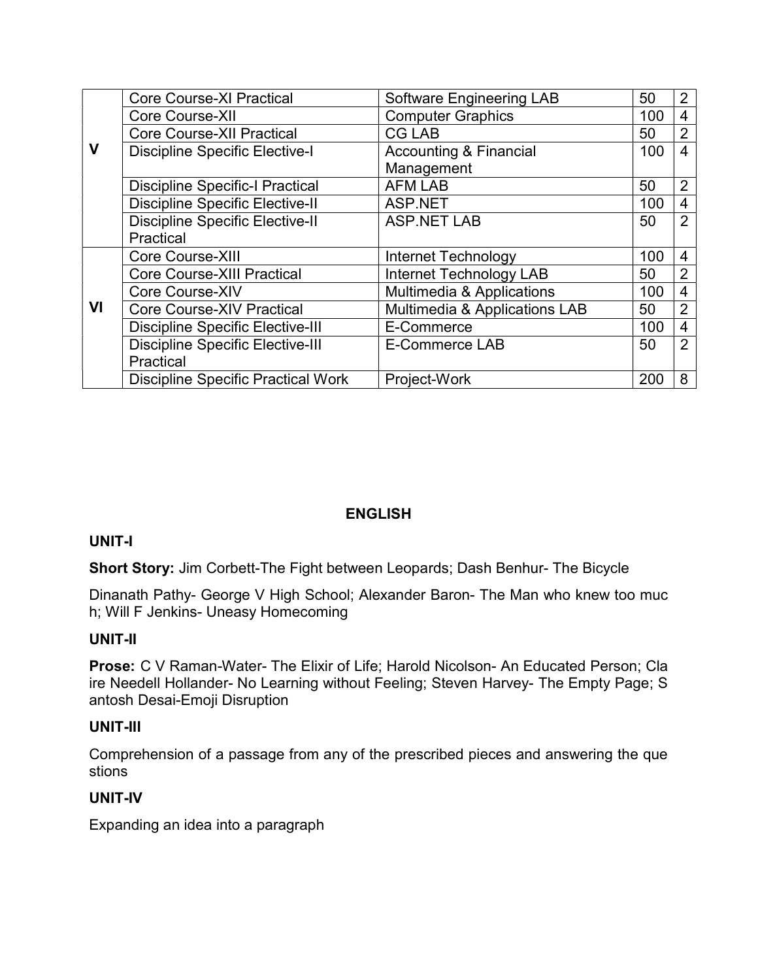|    | <b>Core Course-XI Practical</b>           | <b>Software Engineering LAB</b>      | 50  | 2              |
|----|-------------------------------------------|--------------------------------------|-----|----------------|
|    | Core Course-XII                           | <b>Computer Graphics</b>             | 100 | $\overline{4}$ |
|    | <b>Core Course-XII Practical</b>          | <b>CG LAB</b>                        | 50  | $\overline{2}$ |
| V  | <b>Discipline Specific Elective-I</b>     | <b>Accounting &amp; Financial</b>    | 100 | 4              |
|    |                                           | Management                           |     |                |
|    | <b>Discipline Specific-I Practical</b>    | <b>AFM LAB</b>                       | 50  | $\overline{2}$ |
|    | <b>Discipline Specific Elective-II</b>    | ASP.NET                              | 100 | 4              |
|    | <b>Discipline Specific Elective-II</b>    | <b>ASP.NET LAB</b>                   | 50  | 2              |
|    | Practical                                 |                                      |     |                |
|    | Core Course-XIII                          | Internet Technology                  | 100 | 4              |
|    | <b>Core Course-XIII Practical</b>         | <b>Internet Technology LAB</b>       | 50  | 2              |
|    | Core Course-XIV                           | <b>Multimedia &amp; Applications</b> | 100 | 4              |
| VI | <b>Core Course-XIV Practical</b>          | Multimedia & Applications LAB        | 50  | $\overline{2}$ |
|    | <b>Discipline Specific Elective-III</b>   | E-Commerce                           | 100 | 4              |
|    | <b>Discipline Specific Elective-III</b>   | E-Commerce LAB                       | 50  | 2              |
|    | Practical                                 |                                      |     |                |
|    | <b>Discipline Specific Practical Work</b> | Project-Work                         | 200 | 8              |

# ENGLISH

# UNIT-I

Short Story: Jim Corbett-The Fight between Leopards; Dash Benhur- The Bicycle

Dinanath Pathy- George V High School; Alexander Baron- The Man who knew too muc h; Will F Jenkins- Uneasy Homecoming

# UNIT-II

Prose: C V Raman-Water- The Elixir of Life; Harold Nicolson- An Educated Person; Cla ire Needell Hollander- No Learning without Feeling; Steven Harvey- The Empty Page; S antosh Desai-Emoji Disruption

#### UNIT-III

Comprehension of a passage from any of the prescribed pieces and answering the que stions

# UNIT-IV

Expanding an idea into a paragraph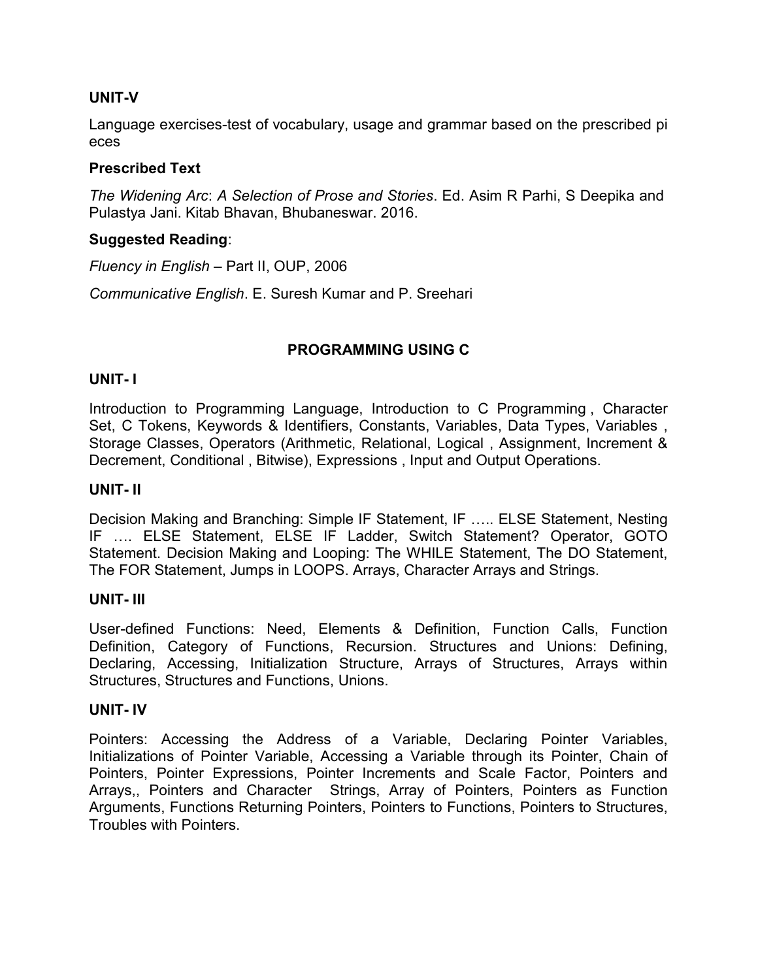# UNIT-V

Language exercises-test of vocabulary, usage and grammar based on the prescribed pi eces

# Prescribed Text

The Widening Arc: A Selection of Prose and Stories. Ed. Asim R Parhi, S Deepika and Pulastya Jani. Kitab Bhavan, Bhubaneswar. 2016.

# Suggested Reading:

Fluency in English – Part II, OUP, 2006

Communicative English. E. Suresh Kumar and P. Sreehari

# PROGRAMMING USING C

# UNIT- I

Introduction to Programming Language, Introduction to C Programming , Character Set, C Tokens, Keywords & Identifiers, Constants, Variables, Data Types, Variables , Storage Classes, Operators (Arithmetic, Relational, Logical , Assignment, Increment & Decrement, Conditional , Bitwise), Expressions , Input and Output Operations.

### UNIT- II

Decision Making and Branching: Simple IF Statement, IF ….. ELSE Statement, Nesting IF …. ELSE Statement, ELSE IF Ladder, Switch Statement? Operator, GOTO Statement. Decision Making and Looping: The WHILE Statement, The DO Statement, The FOR Statement, Jumps in LOOPS. Arrays, Character Arrays and Strings.

#### UNIT- III

User-defined Functions: Need, Elements & Definition, Function Calls, Function Definition, Category of Functions, Recursion. Structures and Unions: Defining, Declaring, Accessing, Initialization Structure, Arrays of Structures, Arrays within Structures, Structures and Functions, Unions.

#### UNIT- IV

Pointers: Accessing the Address of a Variable, Declaring Pointer Variables, Initializations of Pointer Variable, Accessing a Variable through its Pointer, Chain of Pointers, Pointer Expressions, Pointer Increments and Scale Factor, Pointers and Arrays,, Pointers and Character Strings, Array of Pointers, Pointers as Function Arguments, Functions Returning Pointers, Pointers to Functions, Pointers to Structures, Troubles with Pointers.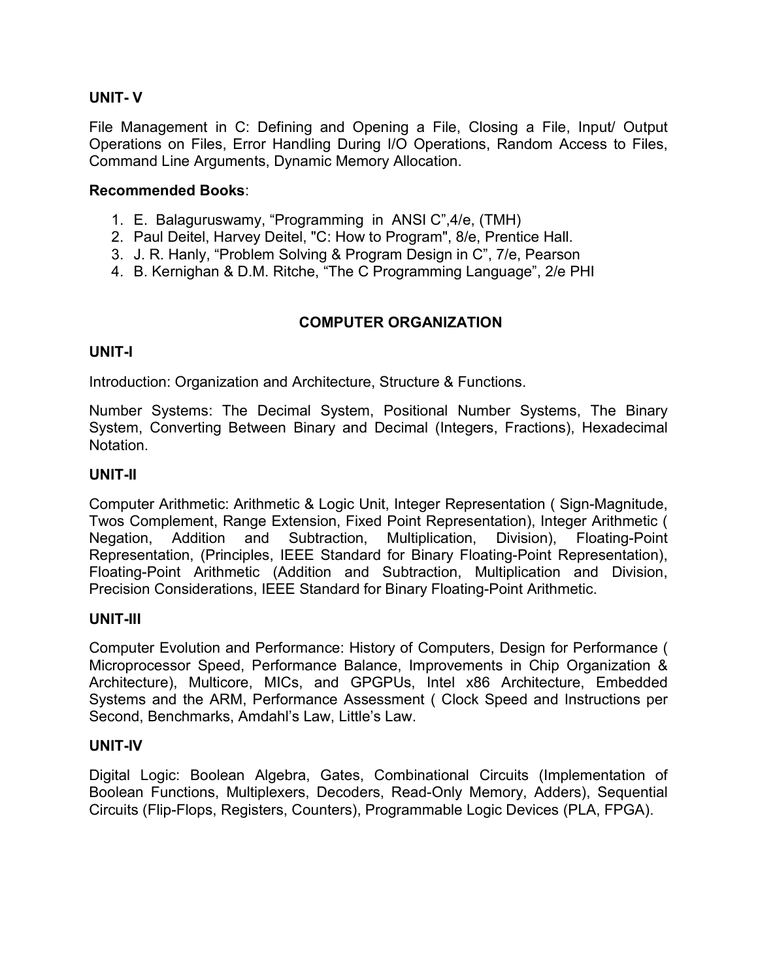# UNIT- V

File Management in C: Defining and Opening a File, Closing a File, Input/ Output Operations on Files, Error Handling During I/O Operations, Random Access to Files, Command Line Arguments, Dynamic Memory Allocation.

# Recommended Books:

- 1. E. Balaguruswamy, "Programming in ANSI C",4/e, (TMH)
- 2. Paul Deitel, Harvey Deitel, "C: How to Program", 8/e, Prentice Hall.
- 3. J. R. Hanly, "Problem Solving & Program Design in C", 7/e, Pearson
- 4. B. Kernighan & D.M. Ritche, "The C Programming Language", 2/e PHI

# COMPUTER ORGANIZATION

# UNIT-I

Introduction: Organization and Architecture, Structure & Functions.

Number Systems: The Decimal System, Positional Number Systems, The Binary System, Converting Between Binary and Decimal (Integers, Fractions), Hexadecimal Notation.

# UNIT-II

Computer Arithmetic: Arithmetic & Logic Unit, Integer Representation ( Sign-Magnitude, Twos Complement, Range Extension, Fixed Point Representation), Integer Arithmetic ( Negation, Addition and Subtraction, Multiplication, Division), Floating-Point Representation, (Principles, IEEE Standard for Binary Floating-Point Representation), Floating-Point Arithmetic (Addition and Subtraction, Multiplication and Division, Precision Considerations, IEEE Standard for Binary Floating-Point Arithmetic.

# UNIT-III

Computer Evolution and Performance: History of Computers, Design for Performance ( Microprocessor Speed, Performance Balance, Improvements in Chip Organization & Architecture), Multicore, MICs, and GPGPUs, Intel x86 Architecture, Embedded Systems and the ARM, Performance Assessment ( Clock Speed and Instructions per Second, Benchmarks, Amdahl's Law, Little's Law.

# UNIT-IV

Digital Logic: Boolean Algebra, Gates, Combinational Circuits (Implementation of Boolean Functions, Multiplexers, Decoders, Read-Only Memory, Adders), Sequential Circuits (Flip-Flops, Registers, Counters), Programmable Logic Devices (PLA, FPGA).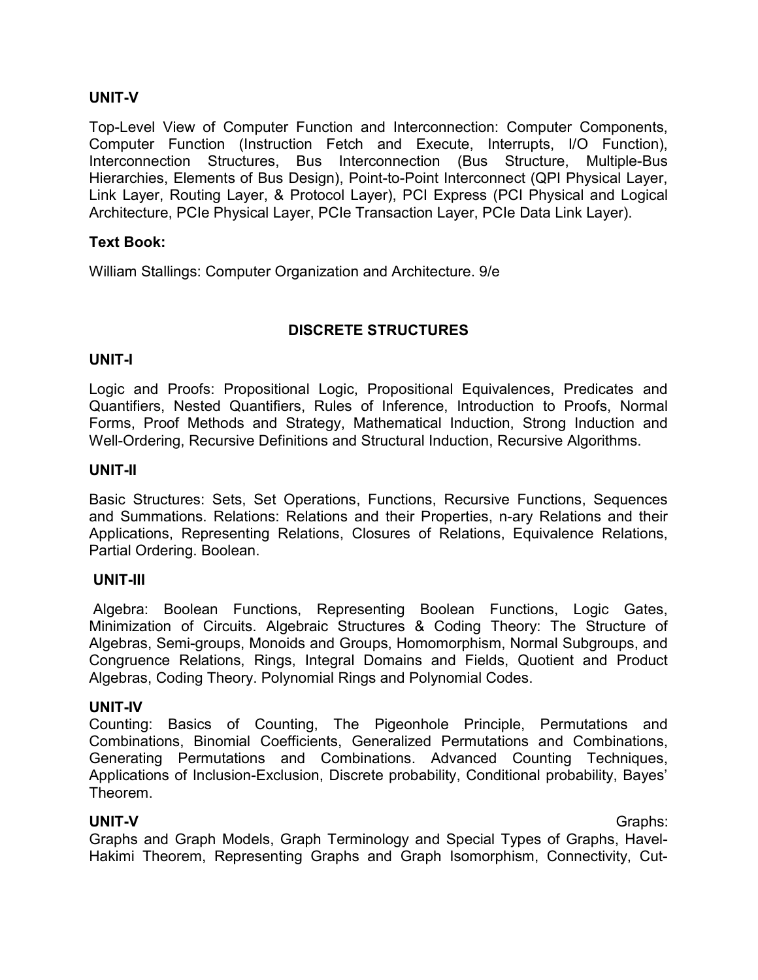# UNIT-V

Top-Level View of Computer Function and Interconnection: Computer Components, Computer Function (Instruction Fetch and Execute, Interrupts, I/O Function), Interconnection Structures, Bus Interconnection (Bus Structure, Multiple-Bus Hierarchies, Elements of Bus Design), Point-to-Point Interconnect (QPI Physical Layer, Link Layer, Routing Layer, & Protocol Layer), PCI Express (PCI Physical and Logical Architecture, PCIe Physical Layer, PCIe Transaction Layer, PCIe Data Link Layer).

### Text Book:

William Stallings: Computer Organization and Architecture. 9/e

# DISCRETE STRUCTURES

#### UNIT-I

Logic and Proofs: Propositional Logic, Propositional Equivalences, Predicates and Quantifiers, Nested Quantifiers, Rules of Inference, Introduction to Proofs, Normal Forms, Proof Methods and Strategy, Mathematical Induction, Strong Induction and Well-Ordering, Recursive Definitions and Structural Induction, Recursive Algorithms.

#### UNIT-II

Basic Structures: Sets, Set Operations, Functions, Recursive Functions, Sequences and Summations. Relations: Relations and their Properties, n-ary Relations and their Applications, Representing Relations, Closures of Relations, Equivalence Relations, Partial Ordering. Boolean.

#### UNIT-III

 Algebra: Boolean Functions, Representing Boolean Functions, Logic Gates, Minimization of Circuits. Algebraic Structures & Coding Theory: The Structure of Algebras, Semi-groups, Monoids and Groups, Homomorphism, Normal Subgroups, and Congruence Relations, Rings, Integral Domains and Fields, Quotient and Product Algebras, Coding Theory. Polynomial Rings and Polynomial Codes.

#### UNIT-IV

Counting: Basics of Counting, The Pigeonhole Principle, Permutations and Combinations, Binomial Coefficients, Generalized Permutations and Combinations, Generating Permutations and Combinations. Advanced Counting Techniques, Applications of Inclusion-Exclusion, Discrete probability, Conditional probability, Bayes' Theorem.

### UNIT-V Graphs:

Graphs and Graph Models, Graph Terminology and Special Types of Graphs, Havel-Hakimi Theorem, Representing Graphs and Graph Isomorphism, Connectivity, Cut-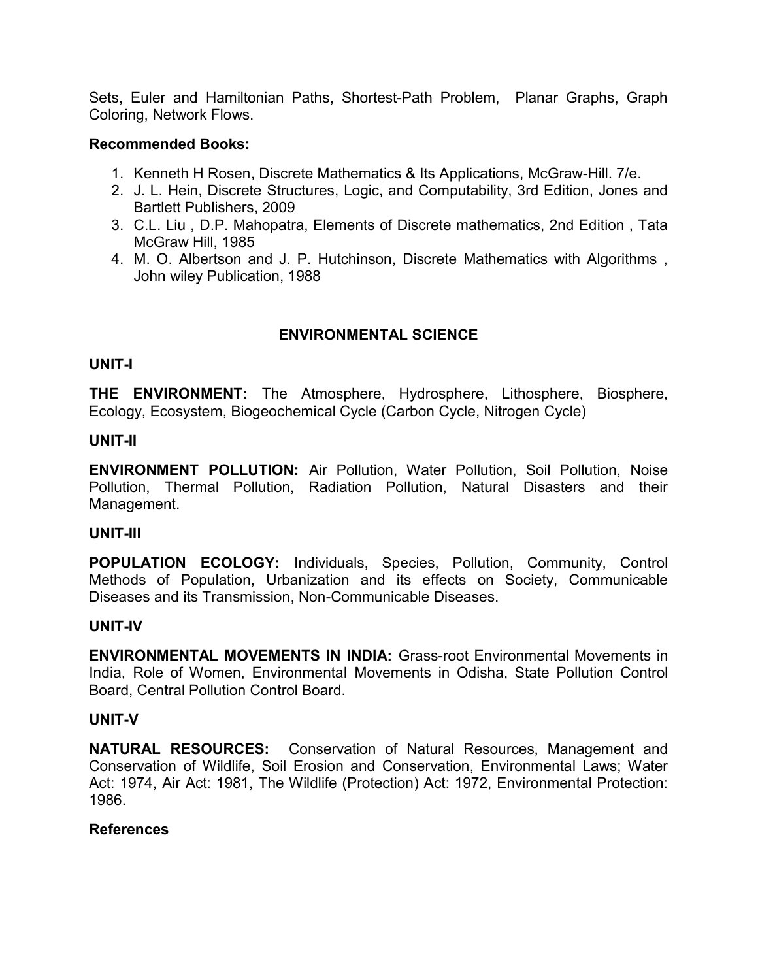Sets, Euler and Hamiltonian Paths, Shortest-Path Problem, Planar Graphs, Graph Coloring, Network Flows.

#### Recommended Books:

- 1. Kenneth H Rosen, Discrete Mathematics & Its Applications, McGraw-Hill. 7/e.
- 2. J. L. Hein, Discrete Structures, Logic, and Computability, 3rd Edition, Jones and Bartlett Publishers, 2009
- 3. C.L. Liu , D.P. Mahopatra, Elements of Discrete mathematics, 2nd Edition , Tata McGraw Hill, 1985
- 4. M. O. Albertson and J. P. Hutchinson, Discrete Mathematics with Algorithms , John wiley Publication, 1988

# ENVIRONMENTAL SCIENCE

### UNIT-I

THE ENVIRONMENT: The Atmosphere, Hydrosphere, Lithosphere, Biosphere, Ecology, Ecosystem, Biogeochemical Cycle (Carbon Cycle, Nitrogen Cycle)

### UNIT-II

ENVIRONMENT POLLUTION: Air Pollution, Water Pollution, Soil Pollution, Noise Pollution, Thermal Pollution, Radiation Pollution, Natural Disasters and their Management.

# UNIT-III

POPULATION ECOLOGY: Individuals, Species, Pollution, Community, Control Methods of Population, Urbanization and its effects on Society, Communicable Diseases and its Transmission, Non-Communicable Diseases.

#### UNIT-IV

ENVIRONMENTAL MOVEMENTS IN INDIA: Grass-root Environmental Movements in India, Role of Women, Environmental Movements in Odisha, State Pollution Control Board, Central Pollution Control Board.

#### UNIT-V

NATURAL RESOURCES: Conservation of Natural Resources, Management and Conservation of Wildlife, Soil Erosion and Conservation, Environmental Laws; Water Act: 1974, Air Act: 1981, The Wildlife (Protection) Act: 1972, Environmental Protection: 1986.

#### **References**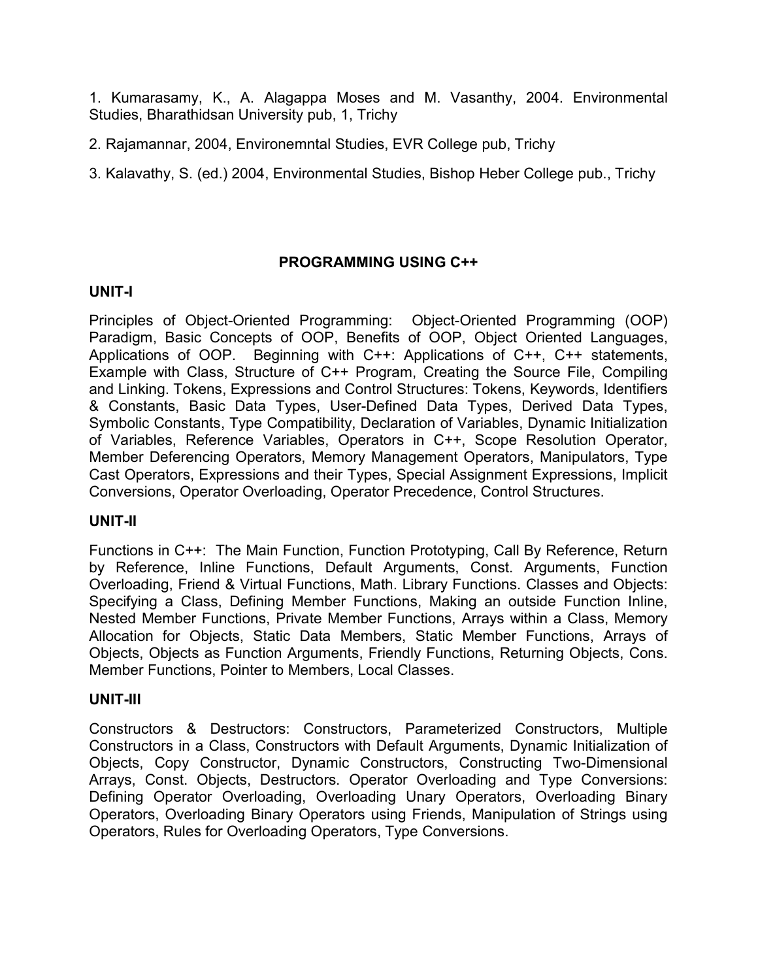1. Kumarasamy, K., A. Alagappa Moses and M. Vasanthy, 2004. Environmental Studies, Bharathidsan University pub, 1, Trichy

2. Rajamannar, 2004, Environemntal Studies, EVR College pub, Trichy

3. Kalavathy, S. (ed.) 2004, Environmental Studies, Bishop Heber College pub., Trichy

# PROGRAMMING USING C++

# UNIT-I

Principles of Object-Oriented Programming: Object-Oriented Programming (OOP) Paradigm, Basic Concepts of OOP, Benefits of OOP, Object Oriented Languages, Applications of OOP. Beginning with C++: Applications of C++, C++ statements, Example with Class, Structure of C++ Program, Creating the Source File, Compiling and Linking. Tokens, Expressions and Control Structures: Tokens, Keywords, Identifiers & Constants, Basic Data Types, User-Defined Data Types, Derived Data Types, Symbolic Constants, Type Compatibility, Declaration of Variables, Dynamic Initialization of Variables, Reference Variables, Operators in C++, Scope Resolution Operator, Member Deferencing Operators, Memory Management Operators, Manipulators, Type Cast Operators, Expressions and their Types, Special Assignment Expressions, Implicit Conversions, Operator Overloading, Operator Precedence, Control Structures.

# UNIT-II

Functions in C++: The Main Function, Function Prototyping, Call By Reference, Return by Reference, Inline Functions, Default Arguments, Const. Arguments, Function Overloading, Friend & Virtual Functions, Math. Library Functions. Classes and Objects: Specifying a Class, Defining Member Functions, Making an outside Function Inline, Nested Member Functions, Private Member Functions, Arrays within a Class, Memory Allocation for Objects, Static Data Members, Static Member Functions, Arrays of Objects, Objects as Function Arguments, Friendly Functions, Returning Objects, Cons. Member Functions, Pointer to Members, Local Classes.

# UNIT-III

Constructors & Destructors: Constructors, Parameterized Constructors, Multiple Constructors in a Class, Constructors with Default Arguments, Dynamic Initialization of Objects, Copy Constructor, Dynamic Constructors, Constructing Two-Dimensional Arrays, Const. Objects, Destructors. Operator Overloading and Type Conversions: Defining Operator Overloading, Overloading Unary Operators, Overloading Binary Operators, Overloading Binary Operators using Friends, Manipulation of Strings using Operators, Rules for Overloading Operators, Type Conversions.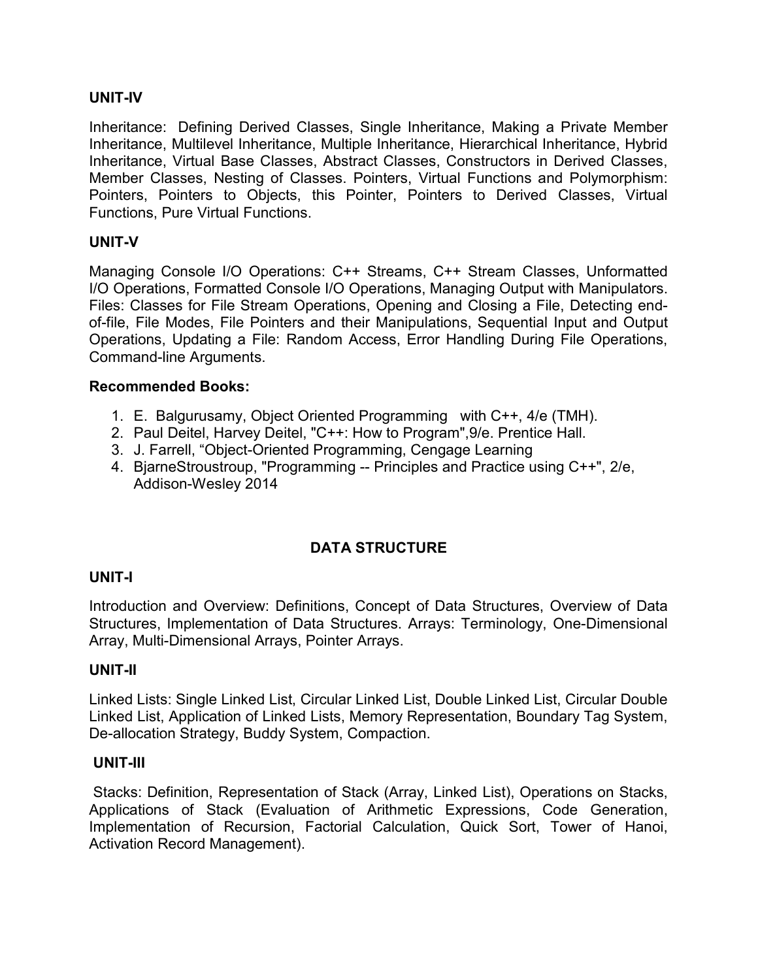# UNIT-IV

Inheritance: Defining Derived Classes, Single Inheritance, Making a Private Member Inheritance, Multilevel Inheritance, Multiple Inheritance, Hierarchical Inheritance, Hybrid Inheritance, Virtual Base Classes, Abstract Classes, Constructors in Derived Classes, Member Classes, Nesting of Classes. Pointers, Virtual Functions and Polymorphism: Pointers, Pointers to Objects, this Pointer, Pointers to Derived Classes, Virtual Functions, Pure Virtual Functions.

# UNIT-V

Managing Console I/O Operations: C++ Streams, C++ Stream Classes, Unformatted I/O Operations, Formatted Console I/O Operations, Managing Output with Manipulators. Files: Classes for File Stream Operations, Opening and Closing a File, Detecting endof-file, File Modes, File Pointers and their Manipulations, Sequential Input and Output Operations, Updating a File: Random Access, Error Handling During File Operations, Command-line Arguments.

# Recommended Books:

- 1. E. Balgurusamy, Object Oriented Programming with C++, 4/e (TMH).
- 2. Paul Deitel, Harvey Deitel, "C++: How to Program",9/e. Prentice Hall.
- 3. J. Farrell, "Object-Oriented Programming, Cengage Learning
- 4. BjarneStroustroup, "Programming -- Principles and Practice using C++", 2/e, Addison-Wesley 2014

# DATA STRUCTURE

# UNIT-I

Introduction and Overview: Definitions, Concept of Data Structures, Overview of Data Structures, Implementation of Data Structures. Arrays: Terminology, One-Dimensional Array, Multi-Dimensional Arrays, Pointer Arrays.

# UNIT-II

Linked Lists: Single Linked List, Circular Linked List, Double Linked List, Circular Double Linked List, Application of Linked Lists, Memory Representation, Boundary Tag System, De-allocation Strategy, Buddy System, Compaction.

# UNIT-III

 Stacks: Definition, Representation of Stack (Array, Linked List), Operations on Stacks, Applications of Stack (Evaluation of Arithmetic Expressions, Code Generation, Implementation of Recursion, Factorial Calculation, Quick Sort, Tower of Hanoi, Activation Record Management).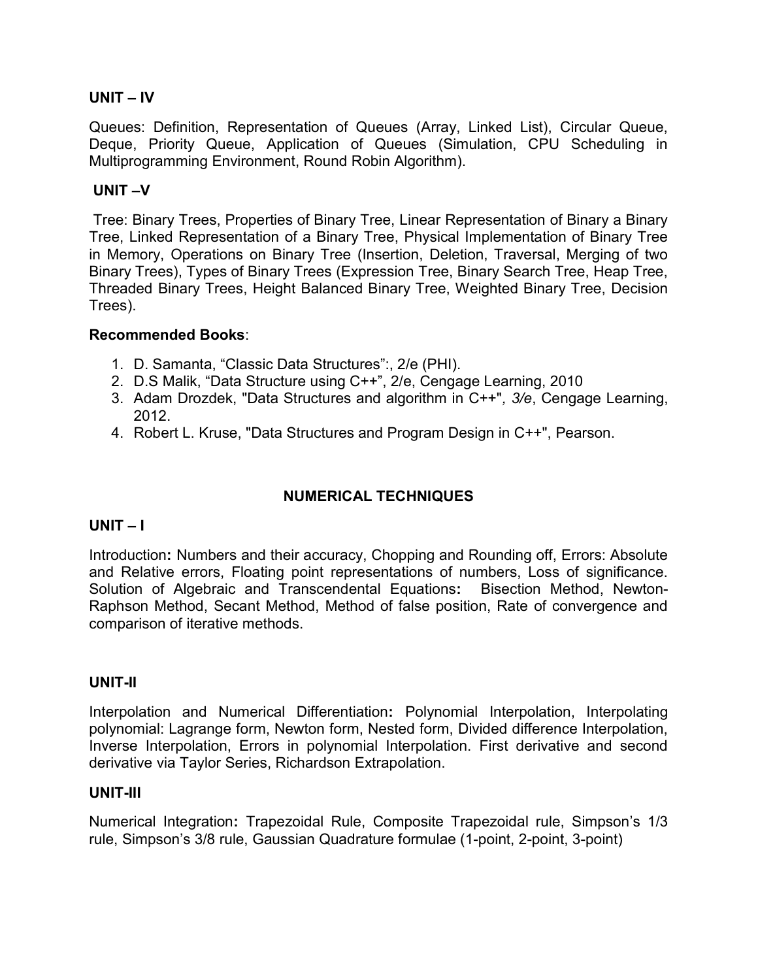# UNIT – IV

Queues: Definition, Representation of Queues (Array, Linked List), Circular Queue, Deque, Priority Queue, Application of Queues (Simulation, CPU Scheduling in Multiprogramming Environment, Round Robin Algorithm).

### UNIT –V

 Tree: Binary Trees, Properties of Binary Tree, Linear Representation of Binary a Binary Tree, Linked Representation of a Binary Tree, Physical Implementation of Binary Tree in Memory, Operations on Binary Tree (Insertion, Deletion, Traversal, Merging of two Binary Trees), Types of Binary Trees (Expression Tree, Binary Search Tree, Heap Tree, Threaded Binary Trees, Height Balanced Binary Tree, Weighted Binary Tree, Decision Trees).

#### Recommended Books:

- 1. D. Samanta, "Classic Data Structures":, 2/e (PHI).
- 2. D.S Malik, "Data Structure using C++", 2/e, Cengage Learning, 2010
- 3. Adam Drozdek, "Data Structures and algorithm in C++", 3/e, Cengage Learning, 2012.
- 4. Robert L. Kruse, "Data Structures and Program Design in C++", Pearson.

# NUMERICAL TECHNIQUES

# UNIT – I

Introduction: Numbers and their accuracy, Chopping and Rounding off, Errors: Absolute and Relative errors, Floating point representations of numbers, Loss of significance. Solution of Algebraic and Transcendental Equations: Bisection Method, Newton-Raphson Method, Secant Method, Method of false position, Rate of convergence and comparison of iterative methods.

#### UNIT-II

Interpolation and Numerical Differentiation: Polynomial Interpolation, Interpolating polynomial: Lagrange form, Newton form, Nested form, Divided difference Interpolation, Inverse Interpolation, Errors in polynomial Interpolation. First derivative and second derivative via Taylor Series, Richardson Extrapolation.

#### UNIT-III

Numerical Integration: Trapezoidal Rule, Composite Trapezoidal rule, Simpson's 1/3 rule, Simpson's 3/8 rule, Gaussian Quadrature formulae (1-point, 2-point, 3-point)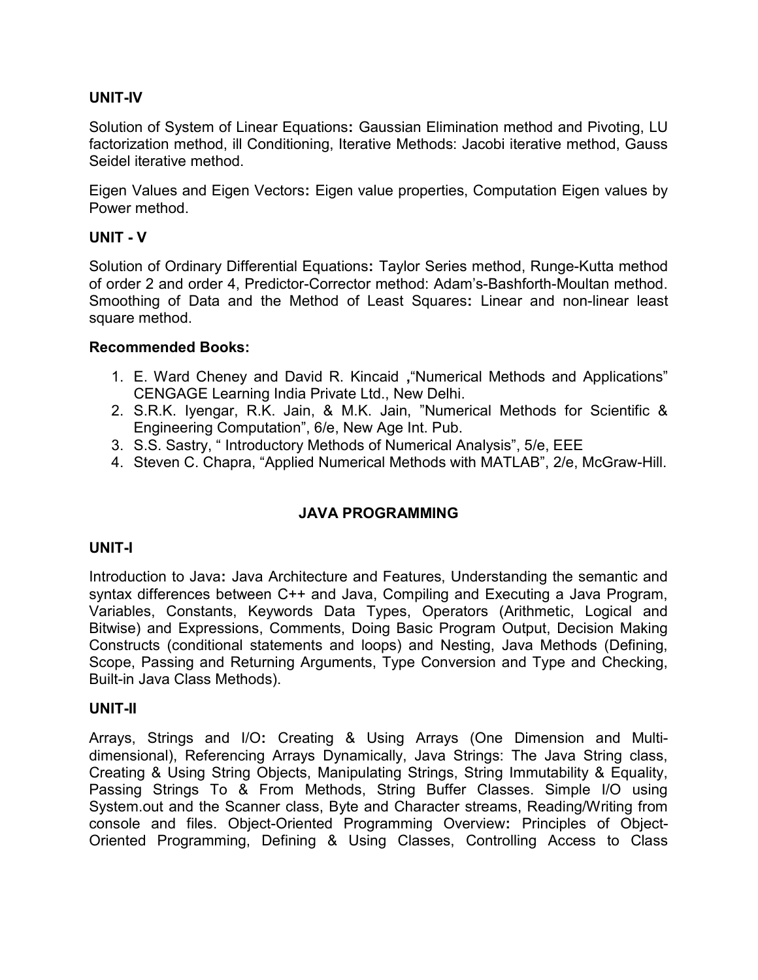# UNIT-IV

Solution of System of Linear Equations: Gaussian Elimination method and Pivoting, LU factorization method, ill Conditioning, Iterative Methods: Jacobi iterative method, Gauss Seidel iterative method.

Eigen Values and Eigen Vectors: Eigen value properties, Computation Eigen values by Power method.

# UNIT - V

Solution of Ordinary Differential Equations: Taylor Series method, Runge-Kutta method of order 2 and order 4, Predictor-Corrector method: Adam's-Bashforth-Moultan method. Smoothing of Data and the Method of Least Squares: Linear and non-linear least square method.

# Recommended Books:

- 1. E. Ward Cheney and David R. Kincaid ,"Numerical Methods and Applications" CENGAGE Learning India Private Ltd., New Delhi.
- 2. S.R.K. Iyengar, R.K. Jain, & M.K. Jain, "Numerical Methods for Scientific & Engineering Computation", 6/e, New Age Int. Pub.
- 3. S.S. Sastry, " Introductory Methods of Numerical Analysis", 5/e, EEE
- 4. Steven C. Chapra, "Applied Numerical Methods with MATLAB", 2/e, McGraw-Hill.

# JAVA PROGRAMMING

# UNIT-I

Introduction to Java: Java Architecture and Features, Understanding the semantic and syntax differences between C++ and Java, Compiling and Executing a Java Program, Variables, Constants, Keywords Data Types, Operators (Arithmetic, Logical and Bitwise) and Expressions, Comments, Doing Basic Program Output, Decision Making Constructs (conditional statements and loops) and Nesting, Java Methods (Defining, Scope, Passing and Returning Arguments, Type Conversion and Type and Checking, Built-in Java Class Methods).

#### UNIT-II

Arrays, Strings and I/O: Creating & Using Arrays (One Dimension and Multidimensional), Referencing Arrays Dynamically, Java Strings: The Java String class, Creating & Using String Objects, Manipulating Strings, String Immutability & Equality, Passing Strings To & From Methods, String Buffer Classes. Simple I/O using System.out and the Scanner class, Byte and Character streams, Reading/Writing from console and files. Object-Oriented Programming Overview: Principles of Object-Oriented Programming, Defining & Using Classes, Controlling Access to Class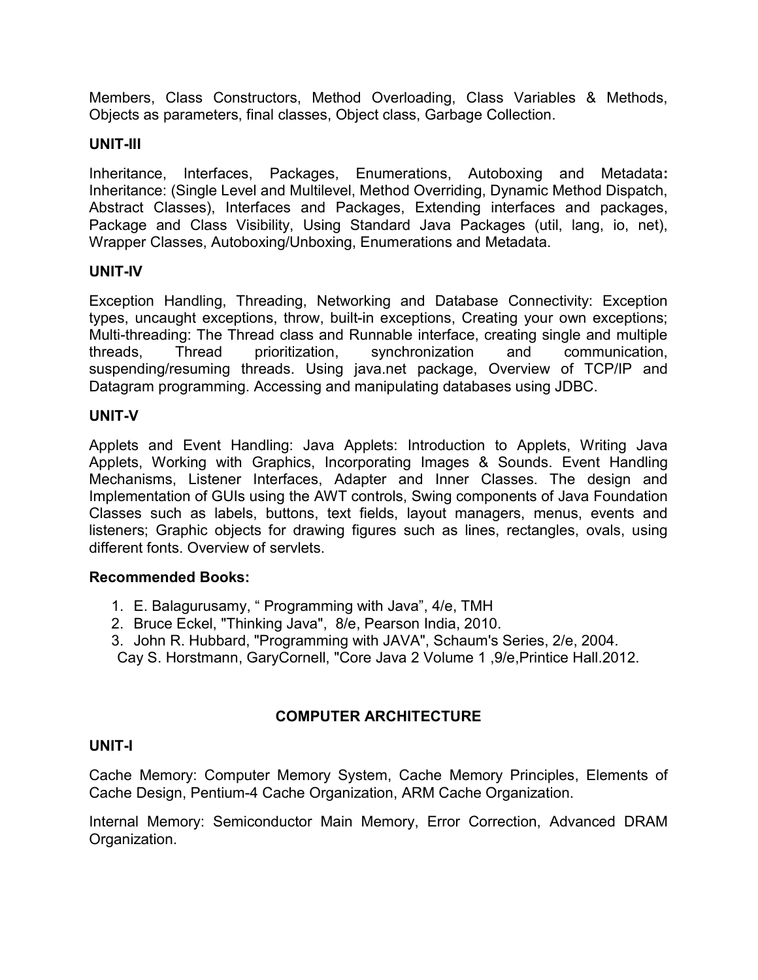Members, Class Constructors, Method Overloading, Class Variables & Methods, Objects as parameters, final classes, Object class, Garbage Collection.

# UNIT-III

Inheritance, Interfaces, Packages, Enumerations, Autoboxing and Metadata: Inheritance: (Single Level and Multilevel, Method Overriding, Dynamic Method Dispatch, Abstract Classes), Interfaces and Packages, Extending interfaces and packages, Package and Class Visibility, Using Standard Java Packages (util, lang, io, net), Wrapper Classes, Autoboxing/Unboxing, Enumerations and Metadata.

# UNIT-IV

Exception Handling, Threading, Networking and Database Connectivity: Exception types, uncaught exceptions, throw, built-in exceptions, Creating your own exceptions; Multi-threading: The Thread class and Runnable interface, creating single and multiple threads, Thread prioritization, synchronization and communication, suspending/resuming threads. Using java.net package, Overview of TCP/IP and Datagram programming. Accessing and manipulating databases using JDBC.

# UNIT-V

Applets and Event Handling: Java Applets: Introduction to Applets, Writing Java Applets, Working with Graphics, Incorporating Images & Sounds. Event Handling Mechanisms, Listener Interfaces, Adapter and Inner Classes. The design and Implementation of GUIs using the AWT controls, Swing components of Java Foundation Classes such as labels, buttons, text fields, layout managers, menus, events and listeners; Graphic objects for drawing figures such as lines, rectangles, ovals, using different fonts. Overview of servlets.

# Recommended Books:

- 1. E. Balagurusamy, " Programming with Java", 4/e, TMH
- 2. Bruce Eckel, "Thinking Java", 8/e, Pearson India, 2010.
- 3. John R. Hubbard, "Programming with JAVA", Schaum's Series, 2/e, 2004. Cay S. Horstmann, GaryCornell, "Core Java 2 Volume 1 ,9/e,Printice Hall.2012.

# COMPUTER ARCHITECTURE

# UNIT-I

Cache Memory: Computer Memory System, Cache Memory Principles, Elements of Cache Design, Pentium-4 Cache Organization, ARM Cache Organization.

Internal Memory: Semiconductor Main Memory, Error Correction, Advanced DRAM Organization.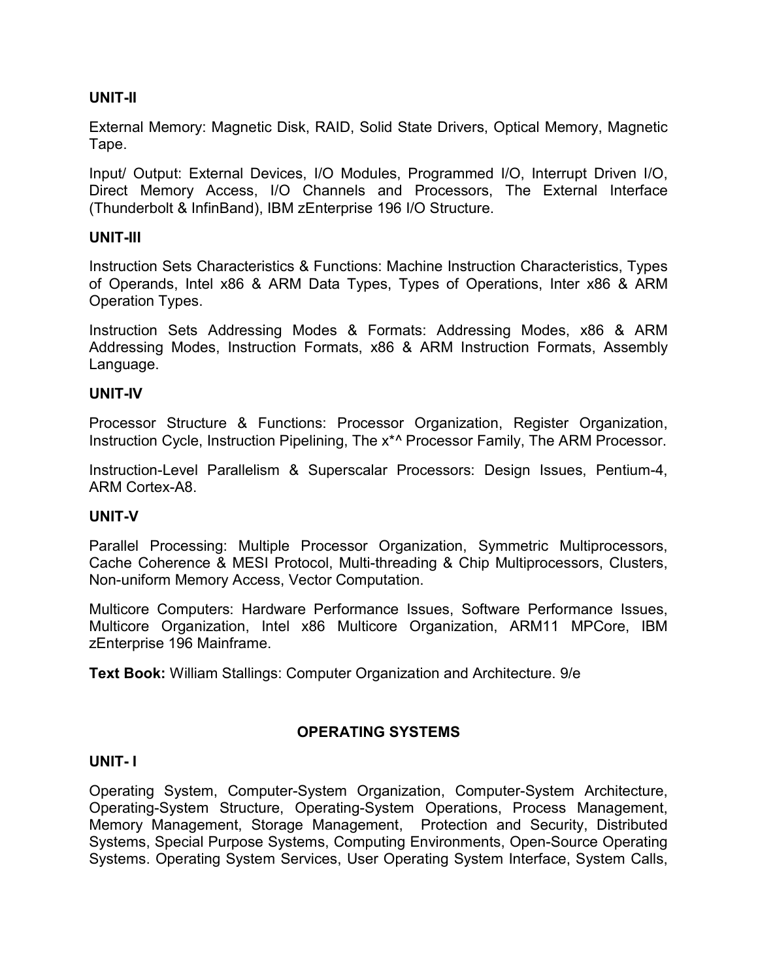# UNIT-II

External Memory: Magnetic Disk, RAID, Solid State Drivers, Optical Memory, Magnetic Tape.

Input/ Output: External Devices, I/O Modules, Programmed I/O, Interrupt Driven I/O, Direct Memory Access, I/O Channels and Processors, The External Interface (Thunderbolt & InfinBand), IBM zEnterprise 196 I/O Structure.

### UNIT-III

Instruction Sets Characteristics & Functions: Machine Instruction Characteristics, Types of Operands, Intel x86 & ARM Data Types, Types of Operations, Inter x86 & ARM Operation Types.

Instruction Sets Addressing Modes & Formats: Addressing Modes, x86 & ARM Addressing Modes, Instruction Formats, x86 & ARM Instruction Formats, Assembly Language.

### UNIT-IV

Processor Structure & Functions: Processor Organization, Register Organization, Instruction Cycle, Instruction Pipelining, The  $x^*$  Processor Family, The ARM Processor.

Instruction-Level Parallelism & Superscalar Processors: Design Issues, Pentium-4, ARM Cortex-A8.

#### UNIT-V

Parallel Processing: Multiple Processor Organization, Symmetric Multiprocessors, Cache Coherence & MESI Protocol, Multi-threading & Chip Multiprocessors, Clusters, Non-uniform Memory Access, Vector Computation.

Multicore Computers: Hardware Performance Issues, Software Performance Issues, Multicore Organization, Intel x86 Multicore Organization, ARM11 MPCore, IBM zEnterprise 196 Mainframe.

Text Book: William Stallings: Computer Organization and Architecture. 9/e

# OPERATING SYSTEMS

#### UNIT- I

Operating System, Computer-System Organization, Computer-System Architecture, Operating-System Structure, Operating-System Operations, Process Management, Memory Management, Storage Management, Protection and Security, Distributed Systems, Special Purpose Systems, Computing Environments, Open-Source Operating Systems. Operating System Services, User Operating System Interface, System Calls,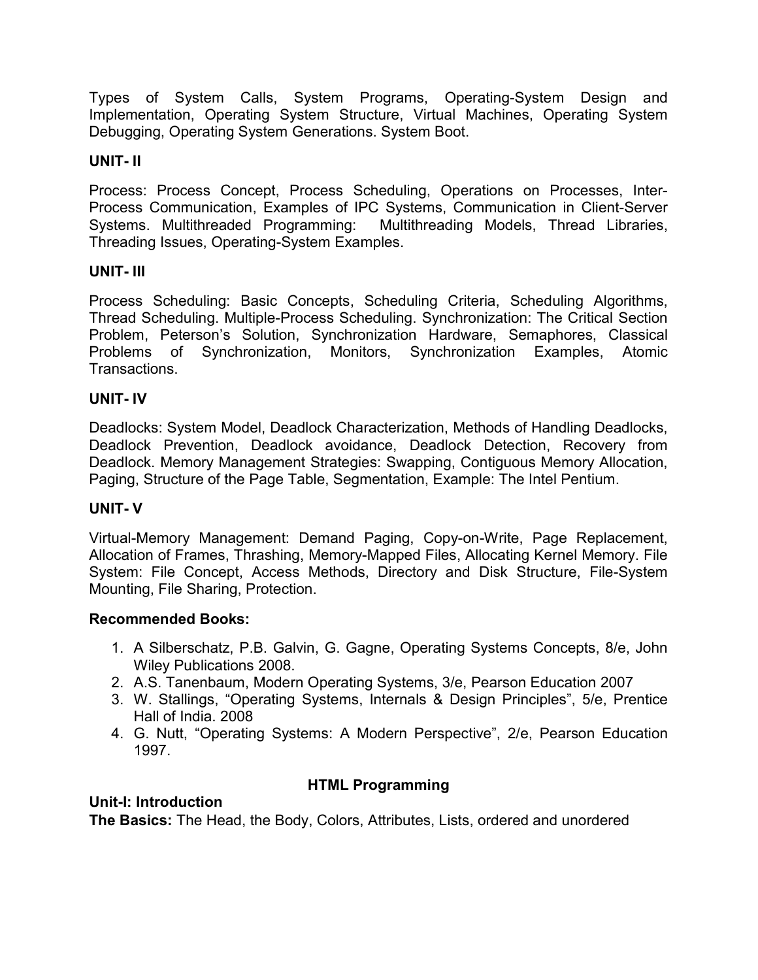Types of System Calls, System Programs, Operating-System Design and Implementation, Operating System Structure, Virtual Machines, Operating System Debugging, Operating System Generations. System Boot.

# UNIT- II

Process: Process Concept, Process Scheduling, Operations on Processes, Inter-Process Communication, Examples of IPC Systems, Communication in Client-Server Systems. Multithreaded Programming: Multithreading Models, Thread Libraries, Threading Issues, Operating-System Examples.

# UNIT- III

Process Scheduling: Basic Concepts, Scheduling Criteria, Scheduling Algorithms, Thread Scheduling. Multiple-Process Scheduling. Synchronization: The Critical Section Problem, Peterson's Solution, Synchronization Hardware, Semaphores, Classical Problems of Synchronization, Monitors, Synchronization Examples, Atomic Transactions.

# UNIT- IV

Deadlocks: System Model, Deadlock Characterization, Methods of Handling Deadlocks, Deadlock Prevention, Deadlock avoidance, Deadlock Detection, Recovery from Deadlock. Memory Management Strategies: Swapping, Contiguous Memory Allocation, Paging, Structure of the Page Table, Segmentation, Example: The Intel Pentium.

# UNIT- V

Virtual-Memory Management: Demand Paging, Copy-on-Write, Page Replacement, Allocation of Frames, Thrashing, Memory-Mapped Files, Allocating Kernel Memory. File System: File Concept, Access Methods, Directory and Disk Structure, File-System Mounting, File Sharing, Protection.

# Recommended Books:

- 1. A Silberschatz, P.B. Galvin, G. Gagne, Operating Systems Concepts, 8/e, John Wiley Publications 2008.
- 2. A.S. Tanenbaum, Modern Operating Systems, 3/e, Pearson Education 2007
- 3. W. Stallings, "Operating Systems, Internals & Design Principles", 5/e, Prentice Hall of India. 2008
- 4. G. Nutt, "Operating Systems: A Modern Perspective", 2/e, Pearson Education 1997.

# HTML Programming

# Unit-I: Introduction

The Basics: The Head, the Body, Colors, Attributes, Lists, ordered and unordered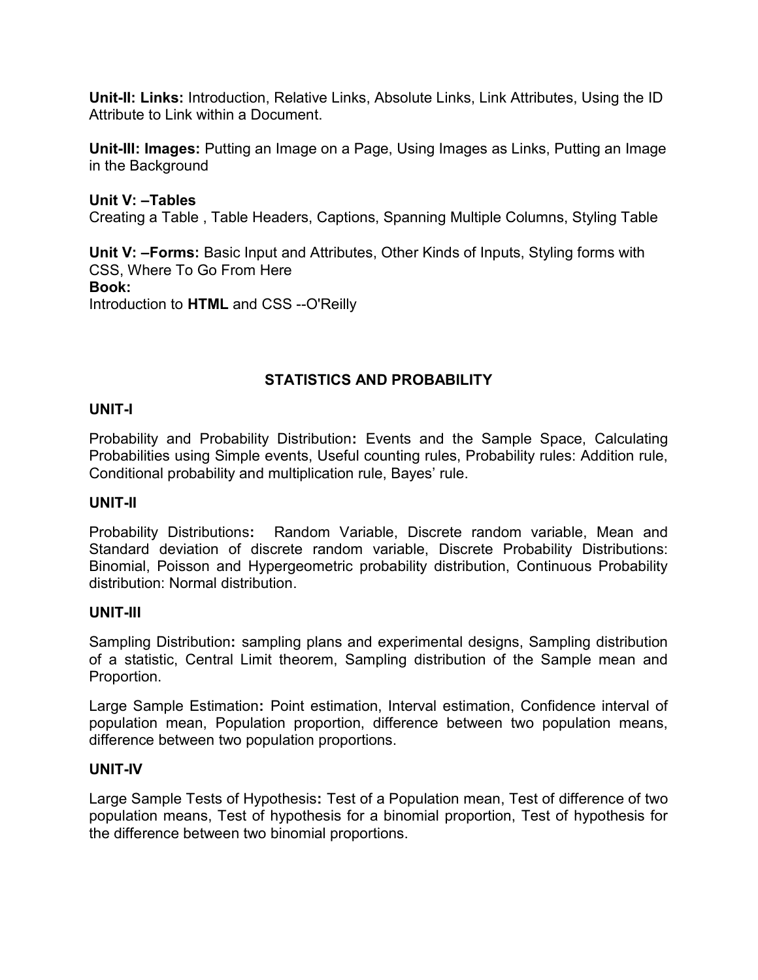Unit-II: Links: Introduction, Relative Links, Absolute Links, Link Attributes, Using the ID Attribute to Link within a Document.

Unit-III: Images: Putting an Image on a Page, Using Images as Links, Putting an Image in the Background

# Unit V: –Tables

Creating a Table , Table Headers, Captions, Spanning Multiple Columns, Styling Table

Unit V: -Forms: Basic Input and Attributes, Other Kinds of Inputs, Styling forms with CSS, Where To Go From Here Book: Introduction to HTML and CSS --O'Reilly

# STATISTICS AND PROBABILITY

# UNIT-I

Probability and Probability Distribution: Events and the Sample Space, Calculating Probabilities using Simple events, Useful counting rules, Probability rules: Addition rule, Conditional probability and multiplication rule, Bayes' rule.

# UNIT-II

Probability Distributions: Random Variable, Discrete random variable, Mean and Standard deviation of discrete random variable, Discrete Probability Distributions: Binomial, Poisson and Hypergeometric probability distribution, Continuous Probability distribution: Normal distribution.

# UNIT-III

Sampling Distribution: sampling plans and experimental designs, Sampling distribution of a statistic, Central Limit theorem, Sampling distribution of the Sample mean and Proportion.

Large Sample Estimation: Point estimation, Interval estimation, Confidence interval of population mean, Population proportion, difference between two population means, difference between two population proportions.

# UNIT-IV

Large Sample Tests of Hypothesis: Test of a Population mean, Test of difference of two population means, Test of hypothesis for a binomial proportion, Test of hypothesis for the difference between two binomial proportions.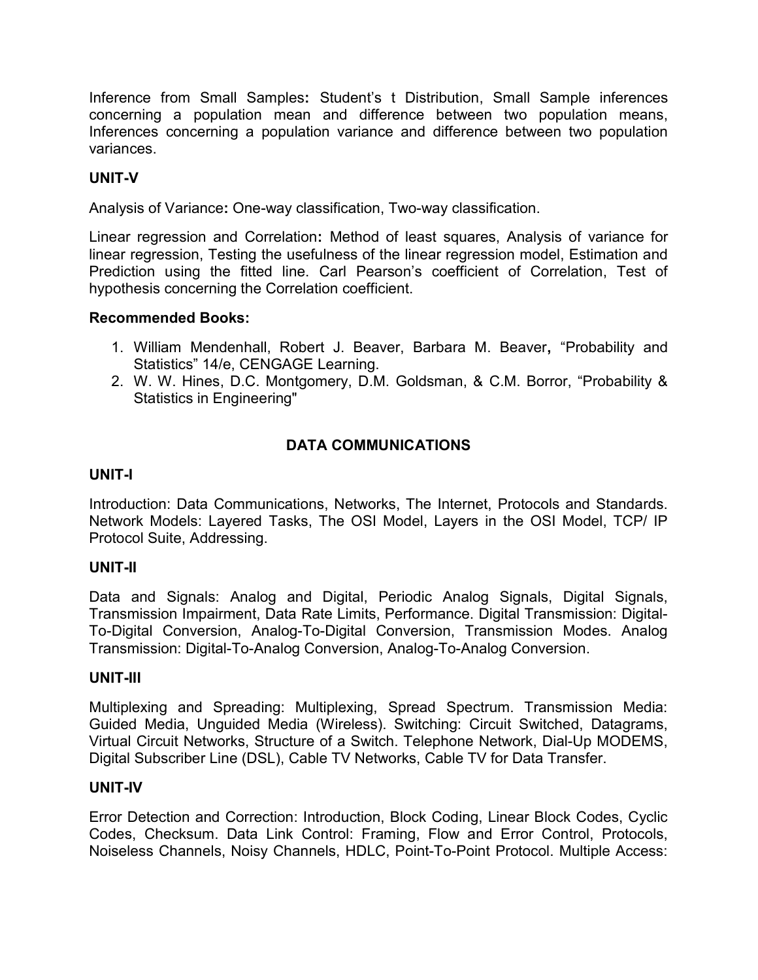Inference from Small Samples: Student's t Distribution, Small Sample inferences concerning a population mean and difference between two population means, Inferences concerning a population variance and difference between two population variances.

# UNIT-V

Analysis of Variance: One-way classification, Two-way classification.

Linear regression and Correlation: Method of least squares, Analysis of variance for linear regression, Testing the usefulness of the linear regression model, Estimation and Prediction using the fitted line. Carl Pearson's coefficient of Correlation, Test of hypothesis concerning the Correlation coefficient.

#### Recommended Books:

- 1. William Mendenhall, Robert J. Beaver, Barbara M. Beaver, "Probability and Statistics" 14/e, CENGAGE Learning.
- 2. W. W. Hines, D.C. Montgomery, D.M. Goldsman, & C.M. Borror, "Probability & Statistics in Engineering"

# DATA COMMUNICATIONS

# UNIT-I

Introduction: Data Communications, Networks, The Internet, Protocols and Standards. Network Models: Layered Tasks, The OSI Model, Layers in the OSI Model, TCP/ IP Protocol Suite, Addressing.

#### UNIT-II

Data and Signals: Analog and Digital, Periodic Analog Signals, Digital Signals, Transmission Impairment, Data Rate Limits, Performance. Digital Transmission: Digital-To-Digital Conversion, Analog-To-Digital Conversion, Transmission Modes. Analog Transmission: Digital-To-Analog Conversion, Analog-To-Analog Conversion.

#### UNIT-III

Multiplexing and Spreading: Multiplexing, Spread Spectrum. Transmission Media: Guided Media, Unguided Media (Wireless). Switching: Circuit Switched, Datagrams, Virtual Circuit Networks, Structure of a Switch. Telephone Network, Dial-Up MODEMS, Digital Subscriber Line (DSL), Cable TV Networks, Cable TV for Data Transfer.

#### UNIT-IV

Error Detection and Correction: Introduction, Block Coding, Linear Block Codes, Cyclic Codes, Checksum. Data Link Control: Framing, Flow and Error Control, Protocols, Noiseless Channels, Noisy Channels, HDLC, Point-To-Point Protocol. Multiple Access: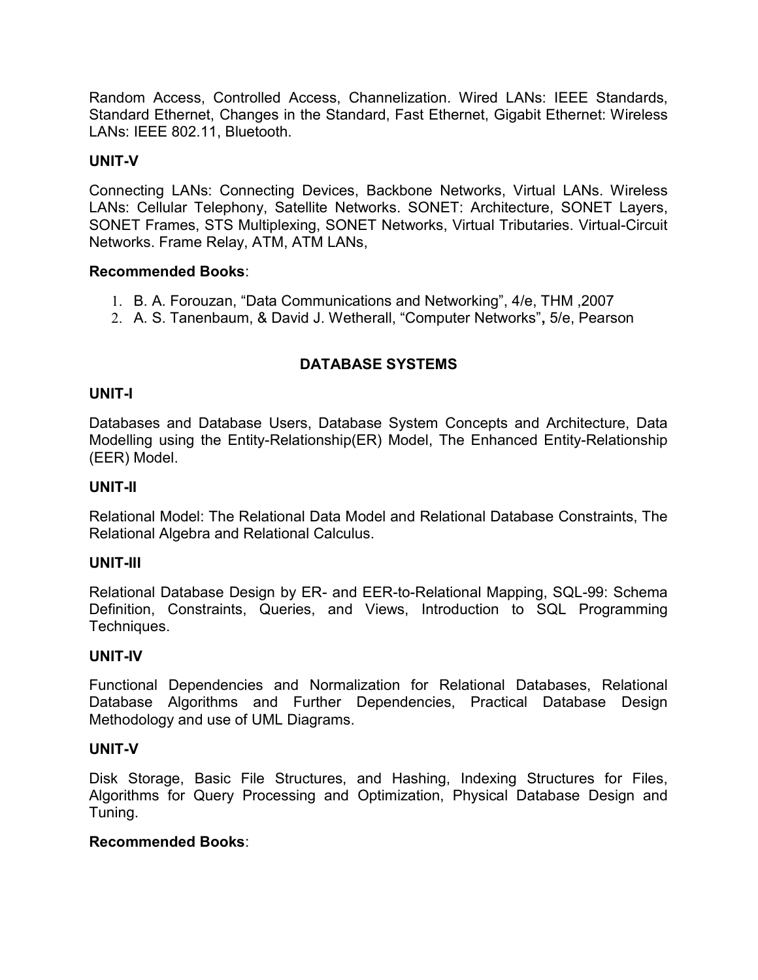Random Access, Controlled Access, Channelization. Wired LANs: IEEE Standards, Standard Ethernet, Changes in the Standard, Fast Ethernet, Gigabit Ethernet: Wireless LANs: IEEE 802.11, Bluetooth.

# UNIT-V

Connecting LANs: Connecting Devices, Backbone Networks, Virtual LANs. Wireless LANs: Cellular Telephony, Satellite Networks. SONET: Architecture, SONET Layers, SONET Frames, STS Multiplexing, SONET Networks, Virtual Tributaries. Virtual-Circuit Networks. Frame Relay, ATM, ATM LANs,

# Recommended Books:

- 1. B. A. Forouzan, "Data Communications and Networking", 4/e, THM ,2007
- 2. A. S. Tanenbaum, & David J. Wetherall, "Computer Networks", 5/e, Pearson

# DATABASE SYSTEMS

### UNIT-I

Databases and Database Users, Database System Concepts and Architecture, Data Modelling using the Entity-Relationship(ER) Model, The Enhanced Entity-Relationship (EER) Model.

#### UNIT-II

Relational Model: The Relational Data Model and Relational Database Constraints, The Relational Algebra and Relational Calculus.

#### UNIT-III

Relational Database Design by ER- and EER-to-Relational Mapping, SQL-99: Schema Definition, Constraints, Queries, and Views, Introduction to SQL Programming Techniques.

#### UNIT-IV

Functional Dependencies and Normalization for Relational Databases, Relational Database Algorithms and Further Dependencies, Practical Database Design Methodology and use of UML Diagrams.

#### UNIT-V

Disk Storage, Basic File Structures, and Hashing, Indexing Structures for Files, Algorithms for Query Processing and Optimization, Physical Database Design and Tuning.

# Recommended Books: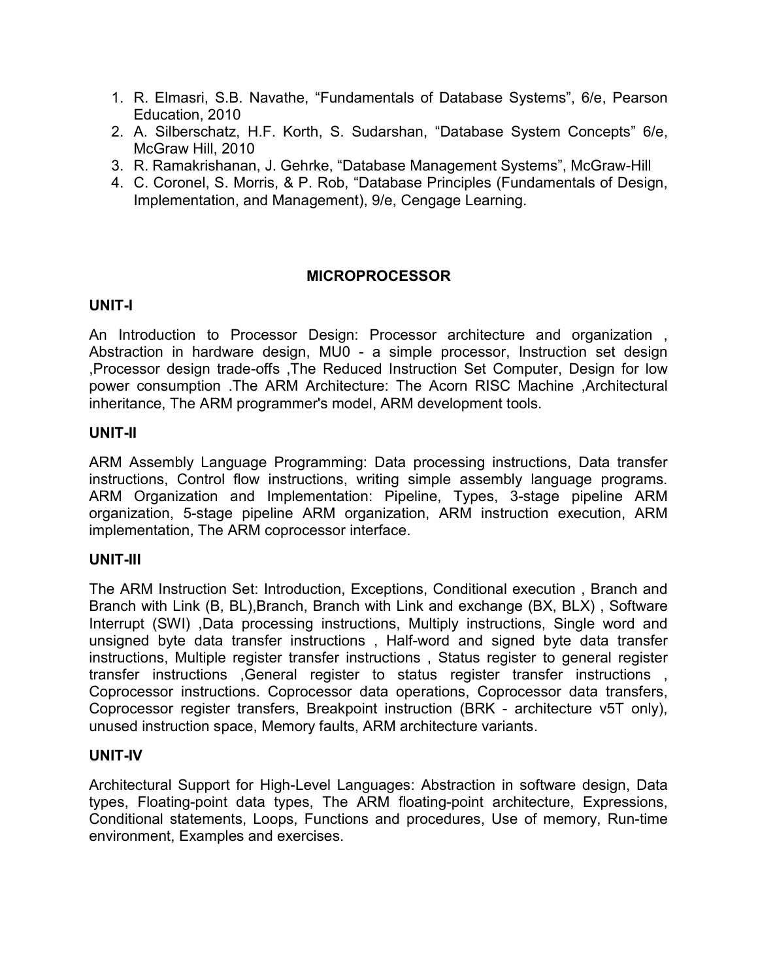- 1. R. Elmasri, S.B. Navathe, "Fundamentals of Database Systems", 6/e, Pearson Education, 2010
- 2. A. Silberschatz, H.F. Korth, S. Sudarshan, "Database System Concepts" 6/e, McGraw Hill, 2010
- 3. R. Ramakrishanan, J. Gehrke, "Database Management Systems", McGraw-Hill
- 4. C. Coronel, S. Morris, & P. Rob, "Database Principles (Fundamentals of Design, Implementation, and Management), 9/e, Cengage Learning.

# MICROPROCESSOR

### UNIT-I

An Introduction to Processor Design: Processor architecture and organization , Abstraction in hardware design, MU0 - a simple processor, Instruction set design ,Processor design trade-offs ,The Reduced Instruction Set Computer, Design for low power consumption .The ARM Architecture: The Acorn RISC Machine ,Architectural inheritance, The ARM programmer's model, ARM development tools.

#### UNIT-II

ARM Assembly Language Programming: Data processing instructions, Data transfer instructions, Control flow instructions, writing simple assembly language programs. ARM Organization and Implementation: Pipeline, Types, 3-stage pipeline ARM organization, 5-stage pipeline ARM organization, ARM instruction execution, ARM implementation, The ARM coprocessor interface.

#### UNIT-III

The ARM Instruction Set: Introduction, Exceptions, Conditional execution , Branch and Branch with Link (B, BL),Branch, Branch with Link and exchange (BX, BLX) , Software Interrupt (SWI) ,Data processing instructions, Multiply instructions, Single word and unsigned byte data transfer instructions , Half-word and signed byte data transfer instructions, Multiple register transfer instructions , Status register to general register transfer instructions ,General register to status register transfer instructions , Coprocessor instructions. Coprocessor data operations, Coprocessor data transfers, Coprocessor register transfers, Breakpoint instruction (BRK - architecture v5T only), unused instruction space, Memory faults, ARM architecture variants.

#### UNIT-IV

Architectural Support for High-Level Languages: Abstraction in software design, Data types, Floating-point data types, The ARM floating-point architecture, Expressions, Conditional statements, Loops, Functions and procedures, Use of memory, Run-time environment, Examples and exercises.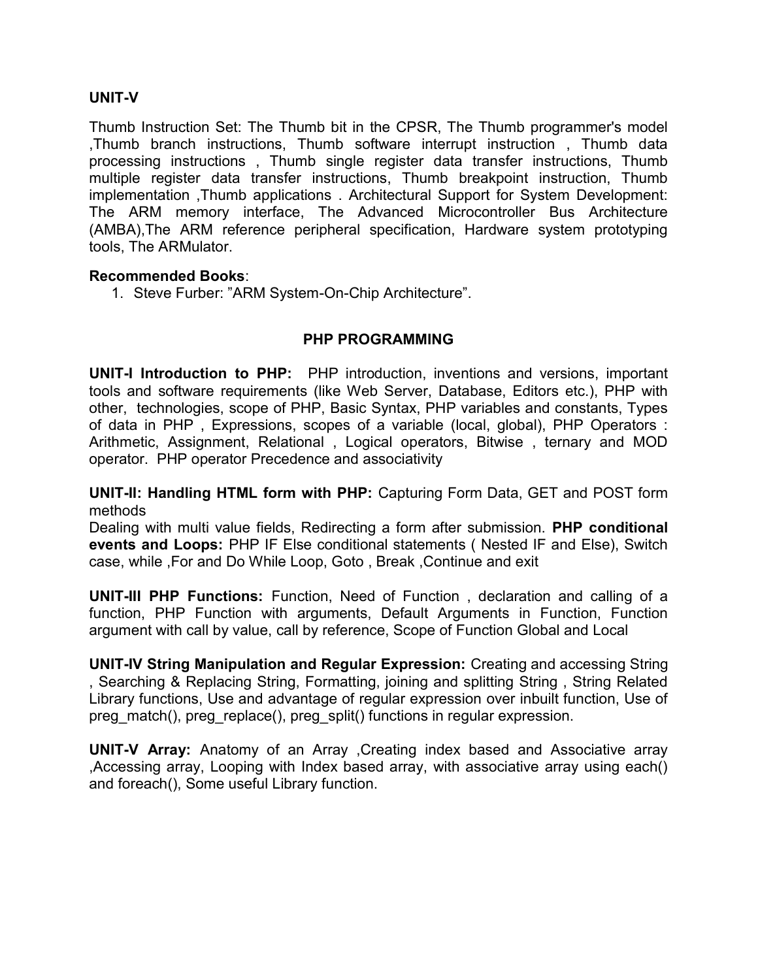### UNIT-V

Thumb Instruction Set: The Thumb bit in the CPSR, The Thumb programmer's model ,Thumb branch instructions, Thumb software interrupt instruction , Thumb data processing instructions , Thumb single register data transfer instructions, Thumb multiple register data transfer instructions, Thumb breakpoint instruction, Thumb implementation ,Thumb applications . Architectural Support for System Development: The ARM memory interface, The Advanced Microcontroller Bus Architecture (AMBA),The ARM reference peripheral specification, Hardware system prototyping tools, The ARMulator.

#### Recommended Books:

1. Steve Furber: "ARM System-On-Chip Architecture".

# PHP PROGRAMMING

UNIT-I Introduction to PHP: PHP introduction, inventions and versions, important tools and software requirements (like Web Server, Database, Editors etc.), PHP with other, technologies, scope of PHP, Basic Syntax, PHP variables and constants, Types of data in PHP , Expressions, scopes of a variable (local, global), PHP Operators : Arithmetic, Assignment, Relational , Logical operators, Bitwise , ternary and MOD operator. PHP operator Precedence and associativity

UNIT-II: Handling HTML form with PHP: Capturing Form Data, GET and POST form methods

Dealing with multi value fields, Redirecting a form after submission. PHP conditional events and Loops: PHP IF Else conditional statements ( Nested IF and Else), Switch case, while ,For and Do While Loop, Goto , Break ,Continue and exit

UNIT-III PHP Functions: Function, Need of Function , declaration and calling of a function, PHP Function with arguments, Default Arguments in Function, Function argument with call by value, call by reference, Scope of Function Global and Local

UNIT-IV String Manipulation and Regular Expression: Creating and accessing String , Searching & Replacing String, Formatting, joining and splitting String , String Related Library functions, Use and advantage of regular expression over inbuilt function, Use of preg\_match(), preg\_replace(), preg\_split() functions in regular expression.

UNIT-V Array: Anatomy of an Array ,Creating index based and Associative array ,Accessing array, Looping with Index based array, with associative array using each() and foreach(), Some useful Library function.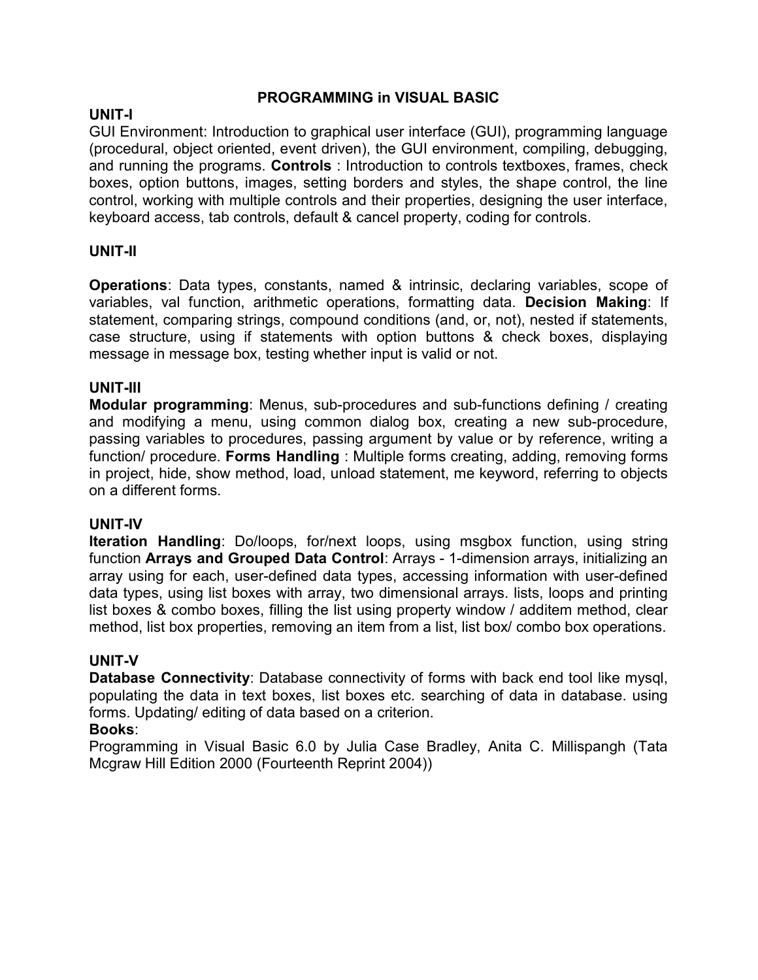# PROGRAMMING in VISUAL BASIC

# UNIT-I

GUI Environment: Introduction to graphical user interface (GUI), programming language (procedural, object oriented, event driven), the GUI environment, compiling, debugging, and running the programs. Controls : Introduction to controls textboxes, frames, check boxes, option buttons, images, setting borders and styles, the shape control, the line control, working with multiple controls and their properties, designing the user interface, keyboard access, tab controls, default & cancel property, coding for controls.

# UNIT-II

Operations: Data types, constants, named & intrinsic, declaring variables, scope of variables, val function, arithmetic operations, formatting data. Decision Making: If statement, comparing strings, compound conditions (and, or, not), nested if statements, case structure, using if statements with option buttons & check boxes, displaying message in message box, testing whether input is valid or not.

# UNIT-III

Modular programming: Menus, sub-procedures and sub-functions defining / creating and modifying a menu, using common dialog box, creating a new sub-procedure, passing variables to procedures, passing argument by value or by reference, writing a function/ procedure. Forms Handling: Multiple forms creating, adding, removing forms in project, hide, show method, load, unload statement, me keyword, referring to objects on a different forms.

# UNIT-IV

Iteration Handling: Do/loops, for/next loops, using msgbox function, using string function Arrays and Grouped Data Control: Arrays - 1-dimension arrays, initializing an array using for each, user-defined data types, accessing information with user-defined data types, using list boxes with array, two dimensional arrays. lists, loops and printing list boxes & combo boxes, filling the list using property window / additem method, clear method, list box properties, removing an item from a list, list box/ combo box operations.

# UNIT-V

Database Connectivity: Database connectivity of forms with back end tool like mysql, populating the data in text boxes, list boxes etc. searching of data in database. using forms. Updating/ editing of data based on a criterion.

# Books:

Programming in Visual Basic 6.0 by Julia Case Bradley, Anita C. Millispangh (Tata Mcgraw Hill Edition 2000 (Fourteenth Reprint 2004))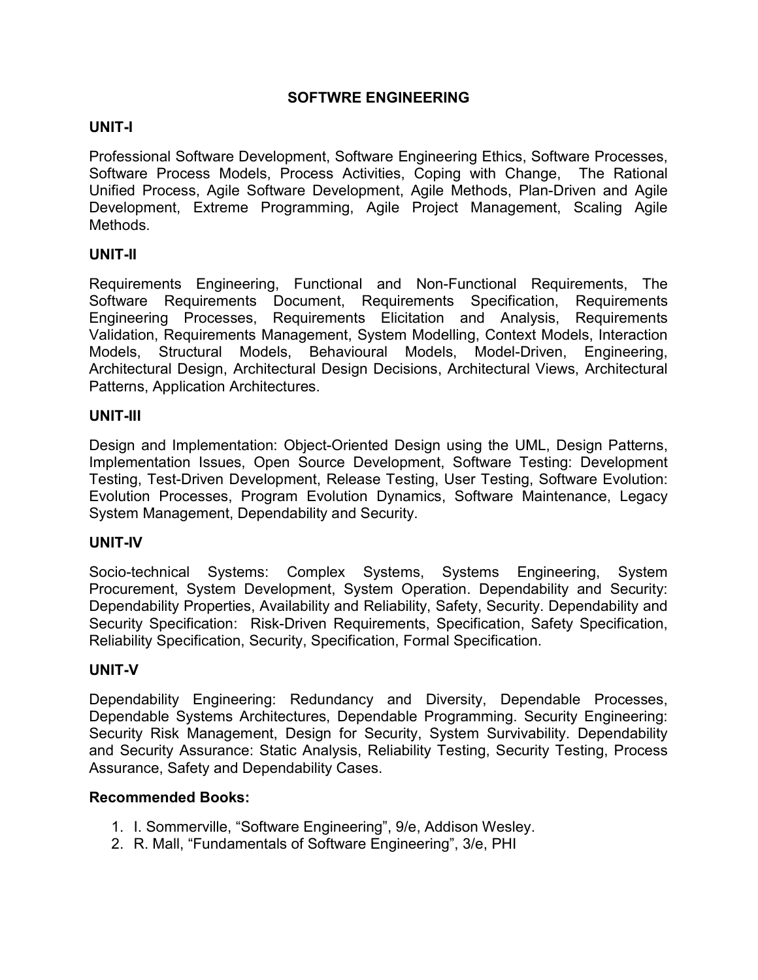# SOFTWRE ENGINEERING

# UNIT-I

Professional Software Development, Software Engineering Ethics, Software Processes, Software Process Models, Process Activities, Coping with Change, The Rational Unified Process, Agile Software Development, Agile Methods, Plan-Driven and Agile Development, Extreme Programming, Agile Project Management, Scaling Agile Methods.

# UNIT-II

Requirements Engineering, Functional and Non-Functional Requirements, The Software Requirements Document, Requirements Specification, Requirements Engineering Processes, Requirements Elicitation and Analysis, Requirements Validation, Requirements Management, System Modelling, Context Models, Interaction Models, Structural Models, Behavioural Models, Model-Driven, Engineering, Architectural Design, Architectural Design Decisions, Architectural Views, Architectural Patterns, Application Architectures.

# UNIT-III

Design and Implementation: Object-Oriented Design using the UML, Design Patterns, Implementation Issues, Open Source Development, Software Testing: Development Testing, Test-Driven Development, Release Testing, User Testing, Software Evolution: Evolution Processes, Program Evolution Dynamics, Software Maintenance, Legacy System Management, Dependability and Security.

# UNIT-IV

Socio-technical Systems: Complex Systems, Systems Engineering, System Procurement, System Development, System Operation. Dependability and Security: Dependability Properties, Availability and Reliability, Safety, Security. Dependability and Security Specification: Risk-Driven Requirements, Specification, Safety Specification, Reliability Specification, Security, Specification, Formal Specification.

# UNIT-V

Dependability Engineering: Redundancy and Diversity, Dependable Processes, Dependable Systems Architectures, Dependable Programming. Security Engineering: Security Risk Management, Design for Security, System Survivability. Dependability and Security Assurance: Static Analysis, Reliability Testing, Security Testing, Process Assurance, Safety and Dependability Cases.

#### Recommended Books:

- 1. I. Sommerville, "Software Engineering", 9/e, Addison Wesley.
- 2. R. Mall, "Fundamentals of Software Engineering", 3/e, PHI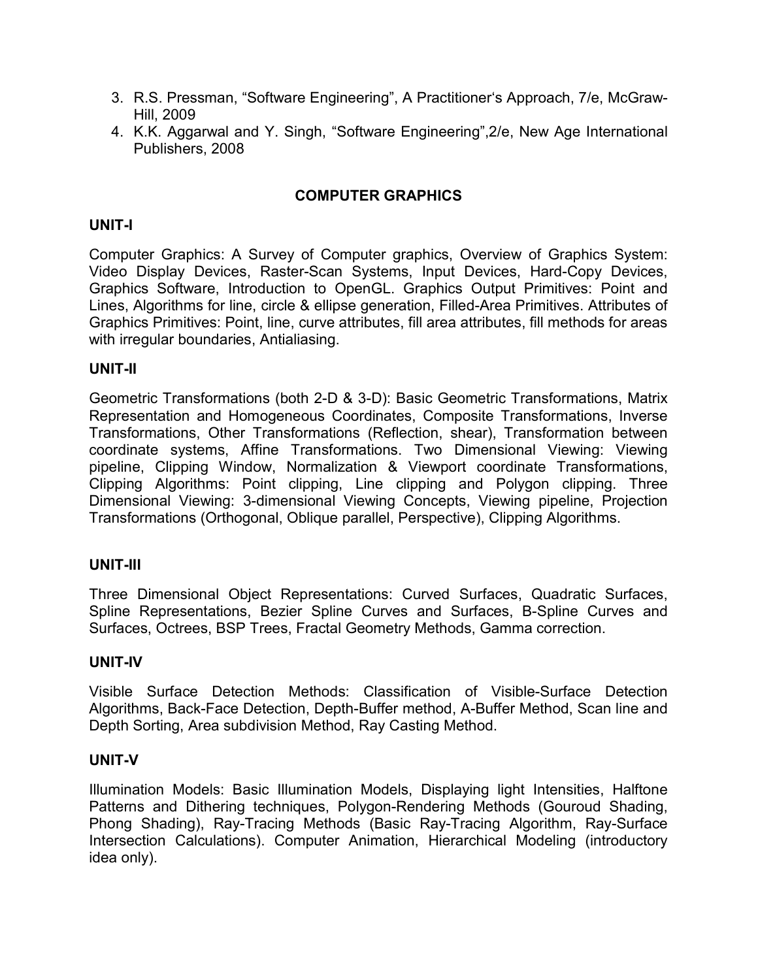- 3. R.S. Pressman, "Software Engineering", A Practitioner's Approach, 7/e, McGraw-Hill, 2009
- 4. K.K. Aggarwal and Y. Singh, "Software Engineering",2/e, New Age International Publishers, 2008

# COMPUTER GRAPHICS

### UNIT-I

Computer Graphics: A Survey of Computer graphics, Overview of Graphics System: Video Display Devices, Raster-Scan Systems, Input Devices, Hard-Copy Devices, Graphics Software, Introduction to OpenGL. Graphics Output Primitives: Point and Lines, Algorithms for line, circle & ellipse generation, Filled-Area Primitives. Attributes of Graphics Primitives: Point, line, curve attributes, fill area attributes, fill methods for areas with irregular boundaries, Antialiasing.

### UNIT-II

Geometric Transformations (both 2-D & 3-D): Basic Geometric Transformations, Matrix Representation and Homogeneous Coordinates, Composite Transformations, Inverse Transformations, Other Transformations (Reflection, shear), Transformation between coordinate systems, Affine Transformations. Two Dimensional Viewing: Viewing pipeline, Clipping Window, Normalization & Viewport coordinate Transformations, Clipping Algorithms: Point clipping, Line clipping and Polygon clipping. Three Dimensional Viewing: 3-dimensional Viewing Concepts, Viewing pipeline, Projection Transformations (Orthogonal, Oblique parallel, Perspective), Clipping Algorithms.

#### UNIT-III

Three Dimensional Object Representations: Curved Surfaces, Quadratic Surfaces, Spline Representations, Bezier Spline Curves and Surfaces, B-Spline Curves and Surfaces, Octrees, BSP Trees, Fractal Geometry Methods, Gamma correction.

#### UNIT-IV

Visible Surface Detection Methods: Classification of Visible-Surface Detection Algorithms, Back-Face Detection, Depth-Buffer method, A-Buffer Method, Scan line and Depth Sorting, Area subdivision Method, Ray Casting Method.

#### UNIT-V

Illumination Models: Basic Illumination Models, Displaying light Intensities, Halftone Patterns and Dithering techniques, Polygon-Rendering Methods (Gouroud Shading, Phong Shading), Ray-Tracing Methods (Basic Ray-Tracing Algorithm, Ray-Surface Intersection Calculations). Computer Animation, Hierarchical Modeling (introductory idea only).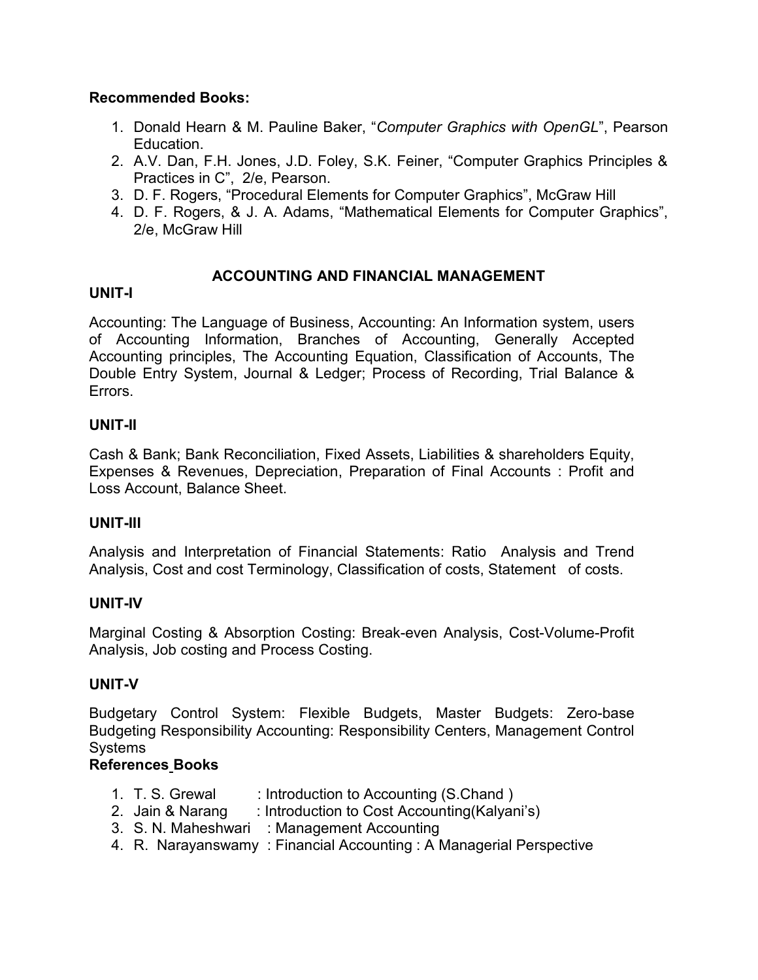# Recommended Books:

- 1. Donald Hearn & M. Pauline Baker, "Computer Graphics with OpenGL", Pearson Education.
- 2. A.V. Dan, F.H. Jones, J.D. Foley, S.K. Feiner, "Computer Graphics Principles & Practices in C", 2/e, Pearson.
- 3. D. F. Rogers, "Procedural Elements for Computer Graphics", McGraw Hill
- 4. D. F. Rogers, & J. A. Adams, "Mathematical Elements for Computer Graphics", 2/e, McGraw Hill

# ACCOUNTING AND FINANCIAL MANAGEMENT

# UNIT-I

Accounting: The Language of Business, Accounting: An Information system, users of Accounting Information, Branches of Accounting, Generally Accepted Accounting principles, The Accounting Equation, Classification of Accounts, The Double Entry System, Journal & Ledger; Process of Recording, Trial Balance & Errors.

# UNIT-II

Cash & Bank; Bank Reconciliation, Fixed Assets, Liabilities & shareholders Equity, Expenses & Revenues, Depreciation, Preparation of Final Accounts : Profit and Loss Account, Balance Sheet.

# UNIT-III

Analysis and Interpretation of Financial Statements: Ratio Analysis and Trend Analysis, Cost and cost Terminology, Classification of costs, Statement of costs.

# UNIT-IV

Marginal Costing & Absorption Costing: Break-even Analysis, Cost-Volume-Profit Analysis, Job costing and Process Costing.

# UNIT-V

Budgetary Control System: Flexible Budgets, Master Budgets: Zero-base Budgeting Responsibility Accounting: Responsibility Centers, Management Control Systems

# References Books

| 1. T. S. Grewal | : Introduction to Accounting (S.Chand ) |
|-----------------|-----------------------------------------|
|                 |                                         |

- 2. Jain & Narang : Introduction to Cost Accounting(Kalyani's)
- 3. S. N. Maheshwari : Management Accounting
- 4. R. Narayanswamy : Financial Accounting : A Managerial Perspective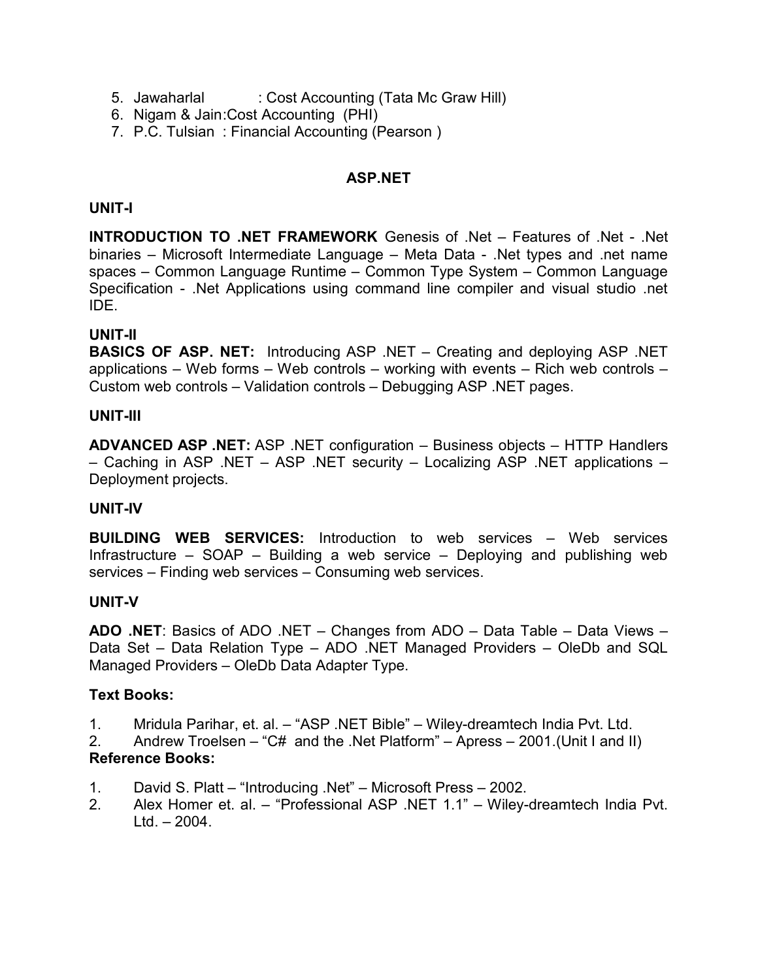- 5. Jawaharlal : Cost Accounting (Tata Mc Graw Hill)
- 6. Nigam & Jain :Cost Accounting (PHI)
- 7. P.C. Tulsian : Financial Accounting (Pearson )

# ASP.NET

# UNIT-I

INTRODUCTION TO .NET FRAMEWORK Genesis of .Net – Features of .Net - .Net binaries – Microsoft Intermediate Language – Meta Data - .Net types and .net name spaces – Common Language Runtime – Common Type System – Common Language Specification - .Net Applications using command line compiler and visual studio .net IDE.

# UNIT-II

BASICS OF ASP. NET: Introducing ASP .NET – Creating and deploying ASP .NET applications – Web forms – Web controls – working with events – Rich web controls – Custom web controls – Validation controls – Debugging ASP .NET pages.

# UNIT-III

ADVANCED ASP .NET: ASP .NET configuration – Business objects – HTTP Handlers – Caching in ASP .NET – ASP .NET security – Localizing ASP .NET applications – Deployment projects.

# UNIT-IV

BUILDING WEB SERVICES: Introduction to web services – Web services Infrastructure – SOAP – Building a web service – Deploying and publishing web services – Finding web services – Consuming web services.

# UNIT-V

ADO .NET: Basics of ADO .NET – Changes from ADO – Data Table – Data Views – Data Set – Data Relation Type – ADO .NET Managed Providers – OleDb and SQL Managed Providers – OleDb Data Adapter Type.

# Text Books:

- 1. Mridula Parihar, et. al. "ASP .NET Bible" Wiley-dreamtech India Pvt. Ltd.
- 2. Andrew Troelsen "C# and the .Net Platform" Apress 2001.(Unit I and II) Reference Books:
- 1. David S. Platt "Introducing .Net" Microsoft Press 2002.
- 2. Alex Homer et. al. "Professional ASP .NET 1.1" Wiley-dreamtech India Pvt.  $Ltd. - 2004.$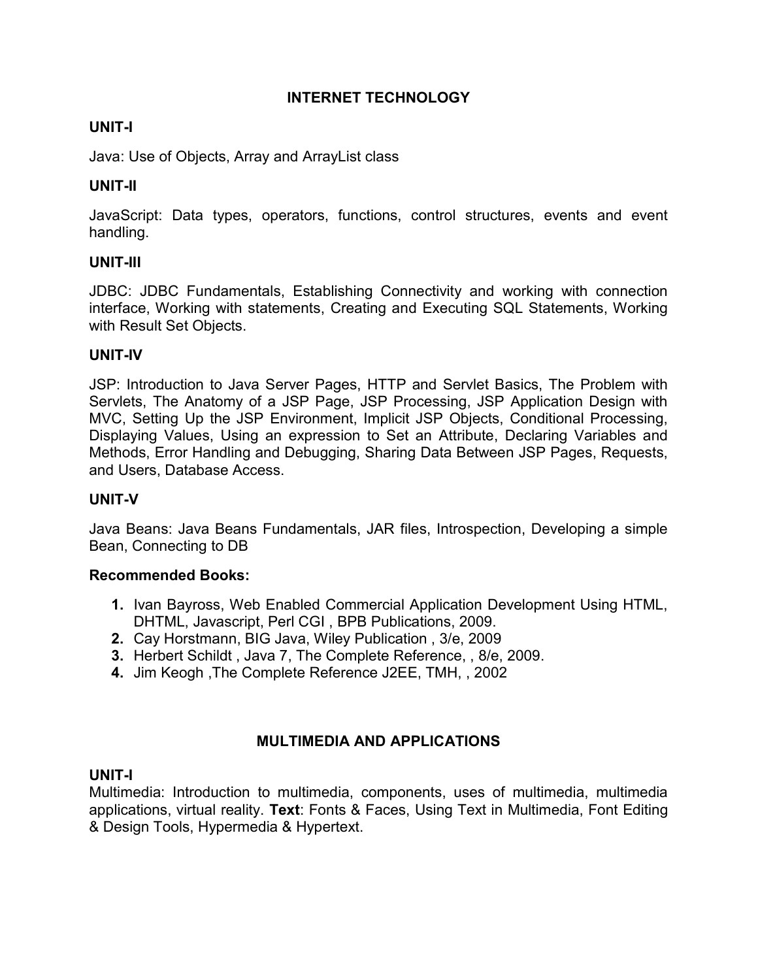# INTERNET TECHNOLOGY

# UNIT-I

Java: Use of Objects, Array and ArrayList class

# UNIT-II

JavaScript: Data types, operators, functions, control structures, events and event handling.

# UNIT-III

JDBC: JDBC Fundamentals, Establishing Connectivity and working with connection interface, Working with statements, Creating and Executing SQL Statements, Working with Result Set Objects.

# UNIT-IV

JSP: Introduction to Java Server Pages, HTTP and Servlet Basics, The Problem with Servlets, The Anatomy of a JSP Page, JSP Processing, JSP Application Design with MVC, Setting Up the JSP Environment, Implicit JSP Objects, Conditional Processing, Displaying Values, Using an expression to Set an Attribute, Declaring Variables and Methods, Error Handling and Debugging, Sharing Data Between JSP Pages, Requests, and Users, Database Access.

# UNIT-V

Java Beans: Java Beans Fundamentals, JAR files, Introspection, Developing a simple Bean, Connecting to DB

# Recommended Books:

- 1. Ivan Bayross, Web Enabled Commercial Application Development Using HTML, DHTML, Javascript, Perl CGI , BPB Publications, 2009.
- 2. Cay Horstmann, BIG Java, Wiley Publication , 3/e, 2009
- 3. Herbert Schildt , Java 7, The Complete Reference, , 8/e, 2009.
- 4. Jim Keogh ,The Complete Reference J2EE, TMH, , 2002

# MULTIMEDIA AND APPLICATIONS

# UNIT-I

Multimedia: Introduction to multimedia, components, uses of multimedia, multimedia applications, virtual reality. Text: Fonts & Faces, Using Text in Multimedia, Font Editing & Design Tools, Hypermedia & Hypertext.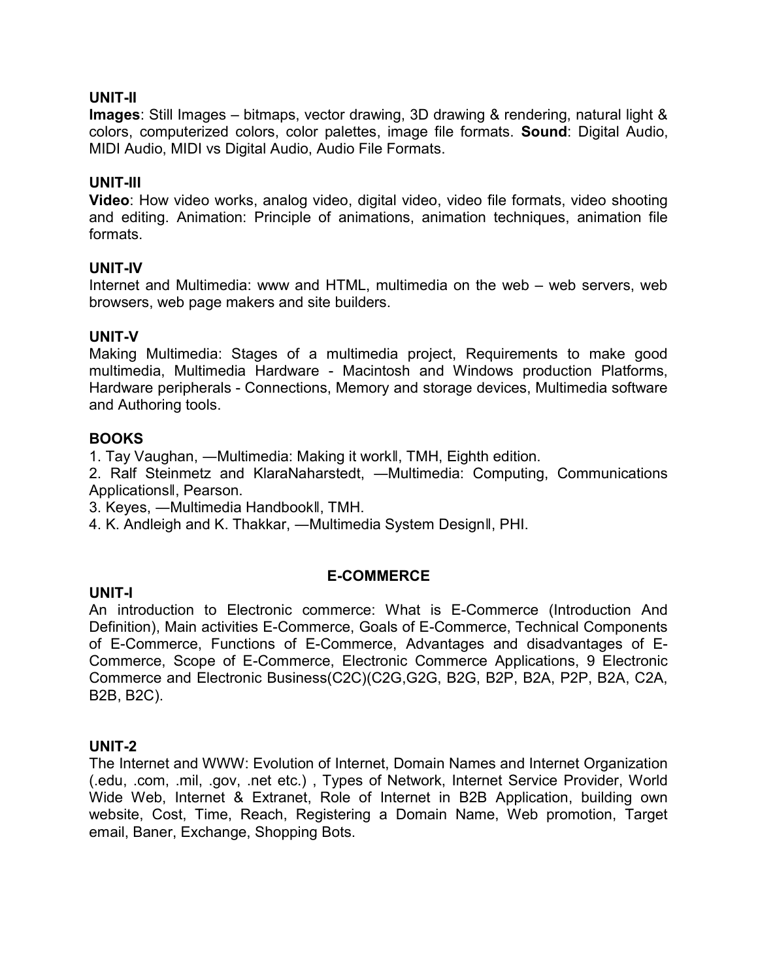### UNIT-II

Images: Still Images – bitmaps, vector drawing, 3D drawing & rendering, natural light & colors, computerized colors, color palettes, image file formats. Sound: Digital Audio, MIDI Audio, MIDI vs Digital Audio, Audio File Formats.

### UNIT-III

Video: How video works, analog video, digital video, video file formats, video shooting and editing. Animation: Principle of animations, animation techniques, animation file formats.

#### UNIT-IV

Internet and Multimedia: www and HTML, multimedia on the web – web servers, web browsers, web page makers and site builders.

### UNIT-V

Making Multimedia: Stages of a multimedia project, Requirements to make good multimedia, Multimedia Hardware - Macintosh and Windows production Platforms, Hardware peripherals - Connections, Memory and storage devices, Multimedia software and Authoring tools.

### BOOKS

1. Tay Vaughan, ―Multimedia: Making it work‖, TMH, Eighth edition.

2. Ralf Steinmetz and KlaraNaharstedt, ―Multimedia: Computing, Communications Applications‖, Pearson.

3. Keyes, ―Multimedia Handbook‖, TMH.

4. K. Andleigh and K. Thakkar, ―Multimedia System Design‖, PHI.

#### E-COMMERCE

#### UNIT-I

An introduction to Electronic commerce: What is E-Commerce (Introduction And Definition), Main activities E-Commerce, Goals of E-Commerce, Technical Components of E-Commerce, Functions of E-Commerce, Advantages and disadvantages of E-Commerce, Scope of E-Commerce, Electronic Commerce Applications, 9 Electronic Commerce and Electronic Business(C2C)(C2G,G2G, B2G, B2P, B2A, P2P, B2A, C2A, B2B, B2C).

#### UNIT-2

The Internet and WWW: Evolution of Internet, Domain Names and Internet Organization (.edu, .com, .mil, .gov, .net etc.) , Types of Network, Internet Service Provider, World Wide Web, Internet & Extranet, Role of Internet in B2B Application, building own website, Cost, Time, Reach, Registering a Domain Name, Web promotion, Target email, Baner, Exchange, Shopping Bots.